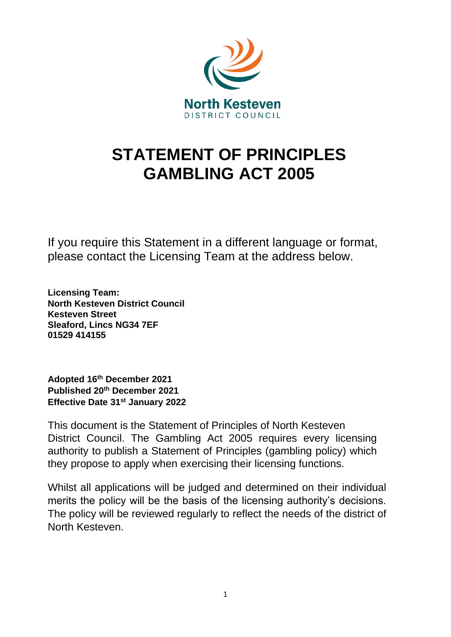

# **STATEMENT OF PRINCIPLES GAMBLING ACT 2005**

If you require this Statement in a different language or format, please contact the Licensing Team at the address below.

**Licensing Team: North Kesteven District Council Kesteven Street Sleaford, Lincs NG34 7EF 01529 414155** 

**Adopted 16th December 2021 Published 20th December 2021 Effective Date 31st January 2022** 

This document is the Statement of Principles of North Kesteven District Council. The Gambling Act 2005 requires every licensing authority to publish a Statement of Principles (gambling policy) which they propose to apply when exercising their licensing functions.

Whilst all applications will be judged and determined on their individual merits the policy will be the basis of the licensing authority's decisions. The policy will be reviewed regularly to reflect the needs of the district of North Kesteven.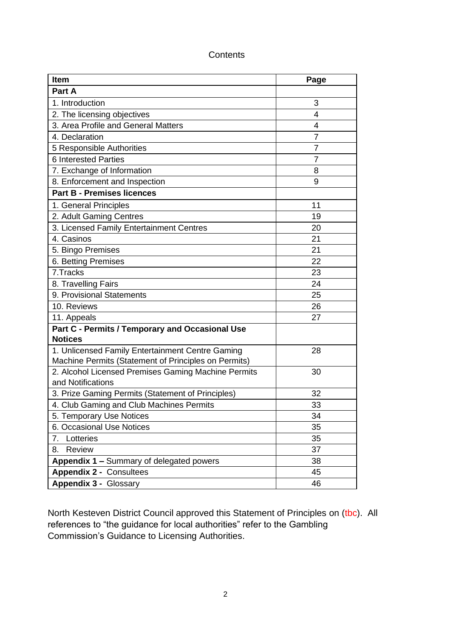| <b>Item</b>                                                              | Page           |
|--------------------------------------------------------------------------|----------------|
| Part A                                                                   |                |
| 1. Introduction                                                          | 3              |
| 2. The licensing objectives                                              | 4              |
| 3. Area Profile and General Matters                                      | 4              |
| 4. Declaration                                                           | 7              |
| 5 Responsible Authorities                                                | $\overline{7}$ |
| <b>6 Interested Parties</b>                                              | 7              |
| 7. Exchange of Information                                               | 8              |
| 8. Enforcement and Inspection                                            | 9              |
| <b>Part B - Premises licences</b>                                        |                |
| 1. General Principles                                                    | 11             |
| 2. Adult Gaming Centres                                                  | 19             |
| 3. Licensed Family Entertainment Centres                                 | 20             |
| 4. Casinos                                                               | 21             |
| 5. Bingo Premises                                                        | 21             |
| 6. Betting Premises                                                      | 22             |
| 7. Tracks                                                                | 23             |
| 8. Travelling Fairs                                                      | 24             |
| 9. Provisional Statements                                                | 25             |
| 10. Reviews                                                              | 26             |
| 11. Appeals                                                              | 27             |
| Part C - Permits / Temporary and Occasional Use                          |                |
| <b>Notices</b>                                                           |                |
| 1. Unlicensed Family Entertainment Centre Gaming                         | 28             |
| Machine Permits (Statement of Principles on Permits)                     |                |
| 2. Alcohol Licensed Premises Gaming Machine Permits<br>and Notifications | 30             |
| 3. Prize Gaming Permits (Statement of Principles)                        | 32             |
| 4. Club Gaming and Club Machines Permits                                 | 33             |
| 5. Temporary Use Notices                                                 | 34             |
| 6. Occasional Use Notices                                                | 35             |
| Lotteries<br>7.                                                          | 35             |
| Review<br>8.                                                             | 37             |
| Appendix 1 - Summary of delegated powers                                 | 38             |
| <b>Appendix 2 - Consultees</b>                                           | 45             |
| <b>Appendix 3 - Glossary</b>                                             | 46             |

## **Contents**

North Kesteven District Council approved this Statement of Principles on (tbc). All references to "the guidance for local authorities" refer to the Gambling Commission's Guidance to Licensing Authorities.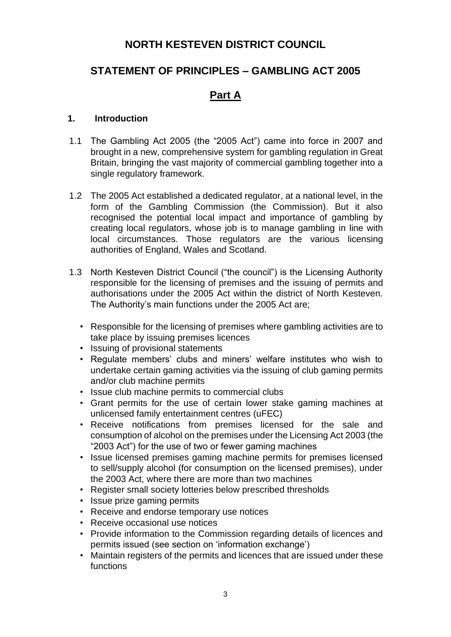## **NORTH KESTEVEN DISTRICT COUNCIL**

## **STATEMENT OF PRINCIPLES – GAMBLING ACT 2005**

## **Part A**

#### **1. Introduction**

- 1.1 The Gambling Act 2005 (the "2005 Act") came into force in 2007 and brought in a new, comprehensive system for gambling regulation in Great Britain, bringing the vast majority of commercial gambling together into a single regulatory framework.
- 1.2 The 2005 Act established a dedicated regulator, at a national level, in the form of the Gambling Commission (the Commission). But it also recognised the potential local impact and importance of gambling by creating local regulators, whose job is to manage gambling in line with local circumstances. Those regulators are the various licensing authorities of England, Wales and Scotland.
- 1.3 North Kesteven District Council ("the council") is the Licensing Authority responsible for the licensing of premises and the issuing of permits and authorisations under the 2005 Act within the district of North Kesteven. The Authority's main functions under the 2005 Act are;
	- Responsible for the licensing of premises where gambling activities are to take place by issuing premises licences
	- Issuing of provisional statements
	- Regulate members' clubs and miners' welfare institutes who wish to undertake certain gaming activities via the issuing of club gaming permits and/or club machine permits
	- Issue club machine permits to commercial clubs
	- Grant permits for the use of certain lower stake gaming machines at unlicensed family entertainment centres (uFEC)
	- Receive notifications from premises licensed for the sale and consumption of alcohol on the premises under the Licensing Act 2003 (the "2003 Act") for the use of two or fewer gaming machines
	- Issue licensed premises gaming machine permits for premises licensed to sell/supply alcohol (for consumption on the licensed premises), under the 2003 Act, where there are more than two machines
	- Register small society lotteries below prescribed thresholds
	- Issue prize gaming permits
	- Receive and endorse temporary use notices
	- Receive occasional use notices
	- Provide information to the Commission regarding details of licences and permits issued (see section on 'information exchange')
	- Maintain registers of the permits and licences that are issued under these functions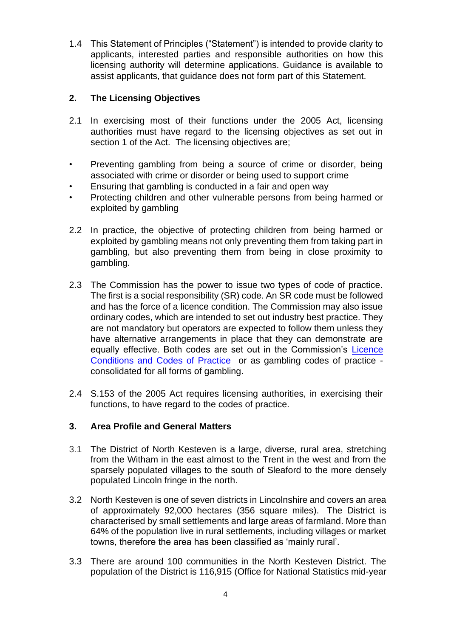1.4 This Statement of Principles ("Statement") is intended to provide clarity to applicants, interested parties and responsible authorities on how this licensing authority will determine applications. Guidance is available to assist applicants, that guidance does not form part of this Statement.

#### **2. The Licensing Objectives**

- 2.1 In exercising most of their functions under the 2005 Act, licensing authorities must have regard to the licensing objectives as set out in section 1 of the Act. The licensing objectives are:
- Preventing gambling from being a source of crime or disorder, being associated with crime or disorder or being used to support crime
- Ensuring that gambling is conducted in a fair and open way
- Protecting children and other vulnerable persons from being harmed or exploited by gambling
- 2.2 In practice, the objective of protecting children from being harmed or exploited by gambling means not only preventing them from taking part in gambling, but also preventing them from being in close proximity to gambling.
- 2.3 The Commission has the power to issue two types of code of practice. The first is a social responsibility (SR) code. An SR code must be followed and has the force of a licence condition. The Commission may also issue ordinary codes, which are intended to set out industry best practice. They are not mandatory but operators are expected to follow them unless they have alternative arrangements in place that they can demonstrate are equally effective. Both codes are set out in the Commission's [Licence](http://www.gamblingcommission.gov.uk/for-gambling-businesses/Compliance/LCCP/Licence-conditions-and-codes-of-practice.aspx)  [Conditions and Codes of Practice](http://www.gamblingcommission.gov.uk/for-gambling-businesses/Compliance/LCCP/Licence-conditions-and-codes-of-practice.aspx) or as gambling codes of practice consolidated for all forms of gambling.
- 2.4 S.153 of the 2005 Act requires licensing authorities, in exercising their functions, to have regard to the codes of practice.

#### **3. Area Profile and General Matters**

- 3.1 The District of North Kesteven is a large, diverse, rural area, stretching from the Witham in the east almost to the Trent in the west and from the sparsely populated villages to the south of Sleaford to the more densely populated Lincoln fringe in the north.
- 3.2 North Kesteven is one of seven districts in Lincolnshire and covers an area of approximately 92,000 hectares (356 square miles). The District is characterised by small settlements and large areas of farmland. More than 64% of the population live in rural settlements, including villages or market towns, therefore the area has been classified as 'mainly rural'.
- 3.3 There are around 100 communities in the North Kesteven District. The population of the District is 116,915 (Office for National Statistics mid-year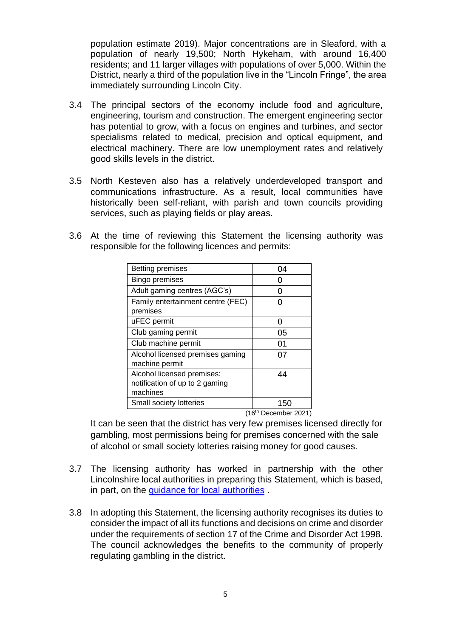population estimate 2019). Major concentrations are in Sleaford, with a population of nearly 19,500; North Hykeham, with around 16,400 residents; and 11 larger villages with populations of over 5,000. Within the District, nearly a third of the population live in the "Lincoln Fringe", the area immediately surrounding Lincoln City.

- 3.4 The principal sectors of the economy include food and agriculture, engineering, tourism and construction. The emergent engineering sector has potential to grow, with a focus on engines and turbines, and sector specialisms related to medical, precision and optical equipment, and electrical machinery. There are low unemployment rates and relatively good skills levels in the district.
- 3.5 North Kesteven also has a relatively underdeveloped transport and communications infrastructure. As a result, local communities have historically been self-reliant, with parish and town councils providing services, such as playing fields or play areas.
- 3.6 At the time of reviewing this Statement the licensing authority was responsible for the following licences and permits:

| <b>Betting premises</b>                            | 04            |
|----------------------------------------------------|---------------|
| <b>Bingo premises</b>                              |               |
| Adult gaming centres (AGC's)                       |               |
| Family entertainment centre (FEC)<br>premises      |               |
| uFEC permit                                        | n             |
| Club gaming permit                                 | 05            |
| Club machine permit                                | 01            |
| Alcohol licensed premises gaming<br>machine permit | 07            |
| Alcohol licensed premises:                         | 44            |
| notification of up to 2 gaming                     |               |
| machines                                           |               |
| Small society lotteries                            | 150<br>(40th) |

(16th December 2021)

It can be seen that the district has very few premises licensed directly for gambling, most permissions being for premises concerned with the sale of alcohol or small society lotteries raising money for good causes.

- 3.7 The licensing authority has worked in partnership with the other Lincolnshire local authorities in preparing this Statement, which is based, in part, on the [guidance for local authorities](http://www.gamblingcommission.gov.uk/for-licensing-authorities/GLA/Guidance-to-licensing-authorities.aspx) [.](http://www.gamblingcommission.gov.uk/for-licensing-authorities/GLA/Guidance-to-licensing-authorities.aspx)
- 3.8 In adopting this Statement, the licensing authority recognises its duties to consider the impact of all its functions and decisions on crime and disorder under the requirements of section 17 of the Crime and Disorder Act 1998. The council acknowledges the benefits to the community of properly regulating gambling in the district.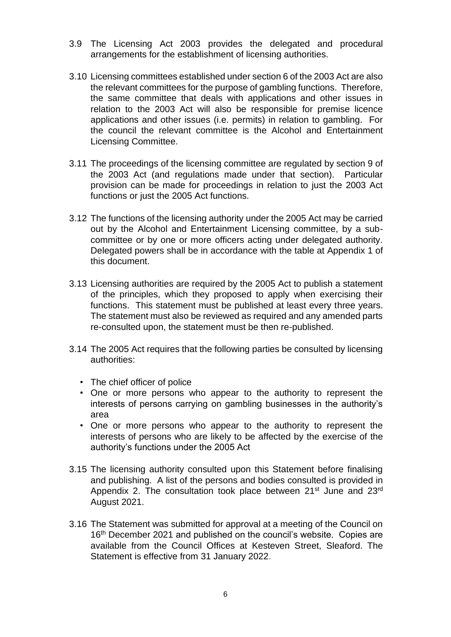- 3.9 The Licensing Act 2003 provides the delegated and procedural arrangements for the establishment of licensing authorities.
- 3.10 Licensing committees established under section 6 of the 2003 Act are also the relevant committees for the purpose of gambling functions. Therefore, the same committee that deals with applications and other issues in relation to the 2003 Act will also be responsible for premise licence applications and other issues (i.e. permits) in relation to gambling. For the council the relevant committee is the Alcohol and Entertainment Licensing Committee.
- 3.11 The proceedings of the licensing committee are regulated by section 9 of the 2003 Act (and regulations made under that section). Particular provision can be made for proceedings in relation to just the 2003 Act functions or just the 2005 Act functions.
- 3.12 The functions of the licensing authority under the 2005 Act may be carried out by the Alcohol and Entertainment Licensing committee, by a subcommittee or by one or more officers acting under delegated authority. Delegated powers shall be in accordance with the table at Appendix 1 of this document.
- 3.13 Licensing authorities are required by the 2005 Act to publish a statement of the principles, which they proposed to apply when exercising their functions. This statement must be published at least every three years. The statement must also be reviewed as required and any amended parts re-consulted upon, the statement must be then re-published.
- 3.14 The 2005 Act requires that the following parties be consulted by licensing authorities:
	- The chief officer of police
	- One or more persons who appear to the authority to represent the interests of persons carrying on gambling businesses in the authority's area
	- One or more persons who appear to the authority to represent the interests of persons who are likely to be affected by the exercise of the authority's functions under the 2005 Act
- 3.15 The licensing authority consulted upon this Statement before finalising and publishing. A list of the persons and bodies consulted is provided in Appendix 2. The consultation took place between 21<sup>st</sup> June and 23<sup>rd</sup> August 2021.
- 3.16 The Statement was submitted for approval at a meeting of the Council on 16<sup>th</sup> December 2021 and published on the council's website. Copies are available from the Council Offices at Kesteven Street, Sleaford. The Statement is effective from 31 January 2022.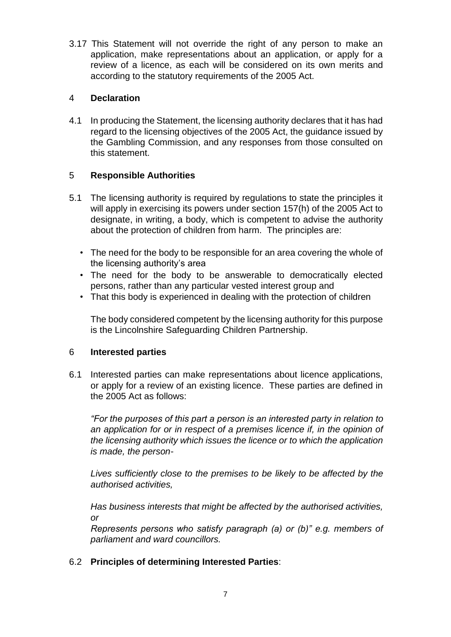3.17 This Statement will not override the right of any person to make an application, make representations about an application, or apply for a review of a licence, as each will be considered on its own merits and according to the statutory requirements of the 2005 Act.

#### 4 **Declaration**

4.1 In producing the Statement, the licensing authority declares that it has had regard to the licensing objectives of the 2005 Act, the guidance issued by the Gambling Commission, and any responses from those consulted on this statement.

#### 5 **Responsible Authorities**

- 5.1 The licensing authority is required by regulations to state the principles it will apply in exercising its powers under section 157(h) of the 2005 Act to designate, in writing, a body, which is competent to advise the authority about the protection of children from harm. The principles are:
	- The need for the body to be responsible for an area covering the whole of the licensing authority's area
	- The need for the body to be answerable to democratically elected persons, rather than any particular vested interest group and
	- That this body is experienced in dealing with the protection of children

The body considered competent by the licensing authority for this purpose is the Lincolnshire Safeguarding Children Partnership.

#### 6 **Interested parties**

6.1 Interested parties can make representations about licence applications, or apply for a review of an existing licence. These parties are defined in the 2005 Act as follows:

*"For the purposes of this part a person is an interested party in relation to an application for or in respect of a premises licence if, in the opinion of the licensing authority which issues the licence or to which the application is made, the person-*

*Lives sufficiently close to the premises to be likely to be affected by the authorised activities,*

*Has business interests that might be affected by the authorised activities, or* 

*Represents persons who satisfy paragraph (a) or (b)" e.g. members of parliament and ward councillors.* 

#### 6.2 **Principles of determining Interested Parties**: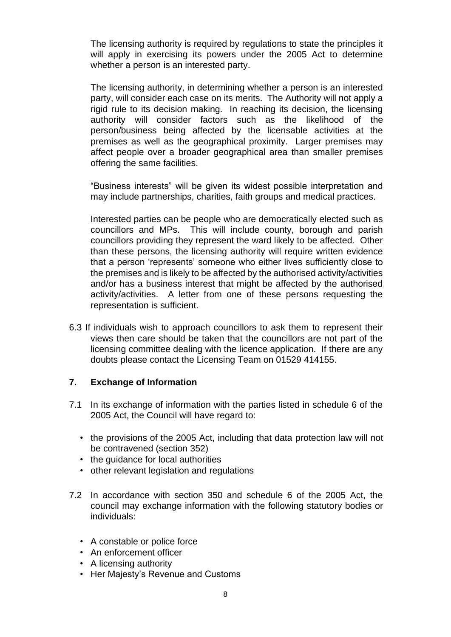The licensing authority is required by regulations to state the principles it will apply in exercising its powers under the 2005 Act to determine whether a person is an interested party.

The licensing authority, in determining whether a person is an interested party, will consider each case on its merits. The Authority will not apply a rigid rule to its decision making. In reaching its decision, the licensing authority will consider factors such as the likelihood of the person/business being affected by the licensable activities at the premises as well as the geographical proximity. Larger premises may affect people over a broader geographical area than smaller premises offering the same facilities.

"Business interests" will be given its widest possible interpretation and may include partnerships, charities, faith groups and medical practices.

Interested parties can be people who are democratically elected such as councillors and MPs. This will include county, borough and parish councillors providing they represent the ward likely to be affected. Other than these persons, the licensing authority will require written evidence that a person 'represents' someone who either lives sufficiently close to the premises and is likely to be affected by the authorised activity/activities and/or has a business interest that might be affected by the authorised activity/activities. A letter from one of these persons requesting the representation is sufficient.

6.3 If individuals wish to approach councillors to ask them to represent their views then care should be taken that the councillors are not part of the licensing committee dealing with the licence application. If there are any doubts please contact the Licensing Team on 01529 414155.

#### **7. Exchange of Information**

- 7.1 In its exchange of information with the parties listed in schedule 6 of the 2005 Act, the Council will have regard to:
	- the provisions of the 2005 Act, including that data protection law will not be contravened (section 352)
	- the quidance for local authorities
	- other relevant legislation and regulations
- 7.2 In accordance with section 350 and schedule 6 of the 2005 Act, the council may exchange information with the following statutory bodies or individuals:
	- A constable or police force
	- An enforcement officer
	- A licensing authority
	- Her Majesty's Revenue and Customs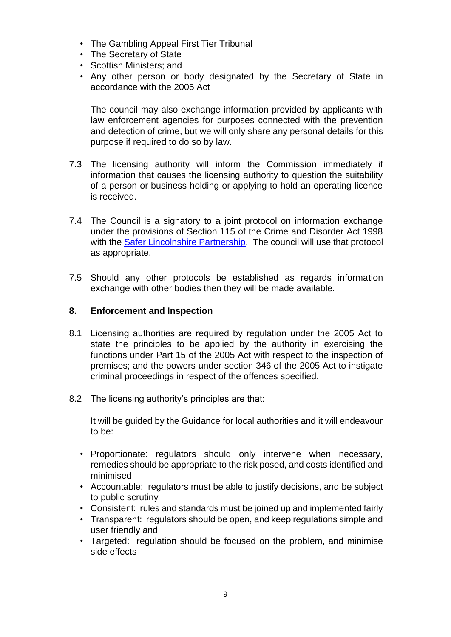- The Gambling Appeal First Tier Tribunal
- The Secretary of State
- Scottish Ministers; and
- Any other person or body designated by the Secretary of State in accordance with the 2005 Act

The council may also exchange information provided by applicants with law enforcement agencies for purposes connected with the prevention and detection of crime, but we will only share any personal details for this purpose if required to do so by law.

- 7.3 The licensing authority will inform the Commission immediately if information that causes the licensing authority to question the suitability of a person or business holding or applying to hold an operating licence is received.
- 7.4 The Council is a signatory to a joint protocol on information exchange under the provisions of Section 115 of the Crime and Disorder Act 1998 with the [Safer Lincolnshire Partnership.](https://www.lincolnshire.gov.uk/safer-lincolnshire-partnership) The council will use that protocol as appropriate.
- 7.5 Should any other protocols be established as regards information exchange with other bodies then they will be made available.

#### **8. Enforcement and Inspection**

- 8.1 Licensing authorities are required by regulation under the 2005 Act to state the principles to be applied by the authority in exercising the functions under Part 15 of the 2005 Act with respect to the inspection of premises; and the powers under section 346 of the 2005 Act to instigate criminal proceedings in respect of the offences specified.
- 8.2 The licensing authority's principles are that:

It will be guided by the Guidance for local authorities and it will endeavour to be:

- Proportionate: regulators should only intervene when necessary, remedies should be appropriate to the risk posed, and costs identified and minimised
- Accountable: regulators must be able to justify decisions, and be subject to public scrutiny
- Consistent: rules and standards must be joined up and implemented fairly
- Transparent: regulators should be open, and keep regulations simple and user friendly and
- Targeted: regulation should be focused on the problem, and minimise side effects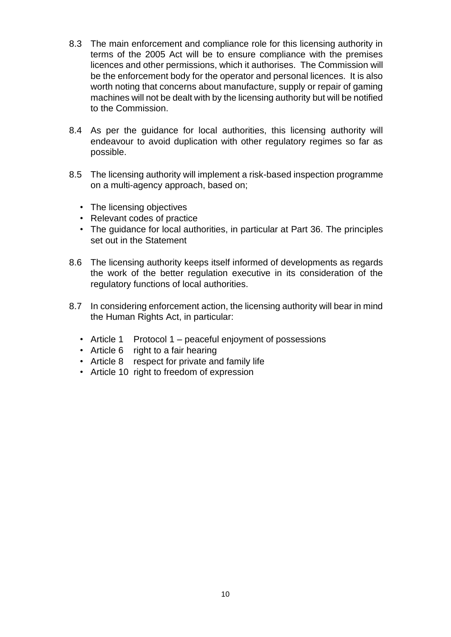- 8.3 The main enforcement and compliance role for this licensing authority in terms of the 2005 Act will be to ensure compliance with the premises licences and other permissions, which it authorises. The Commission will be the enforcement body for the operator and personal licences. It is also worth noting that concerns about manufacture, supply or repair of gaming machines will not be dealt with by the licensing authority but will be notified to the Commission.
- 8.4 As per the guidance for local authorities, this licensing authority will endeavour to avoid duplication with other regulatory regimes so far as possible.
- 8.5 The licensing authority will implement a risk-based inspection programme on a multi-agency approach, based on;
	- The licensing objectives
	- Relevant codes of practice
	- The guidance for local authorities, in particular at Part 36. The principles set out in the Statement
- 8.6 The licensing authority keeps itself informed of developments as regards the work of the better regulation executive in its consideration of the regulatory functions of local authorities.
- 8.7 In considering enforcement action, the licensing authority will bear in mind the Human Rights Act, in particular:
	- Article 1 Protocol 1 peaceful enjoyment of possessions
	- Article 6 right to a fair hearing
	- Article 8 respect for private and family life
	- Article 10 right to freedom of expression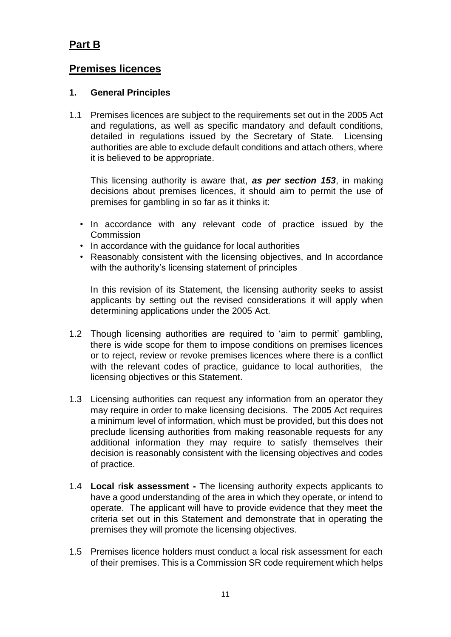## **Part B**

## **Premises licences**

#### **1. General Principles**

1.1 Premises licences are subject to the requirements set out in the 2005 Act and regulations, as well as specific mandatory and default conditions, detailed in regulations issued by the Secretary of State. Licensing authorities are able to exclude default conditions and attach others, where it is believed to be appropriate.

This licensing authority is aware that, *as per section 153*, in making decisions about premises licences, it should aim to permit the use of premises for gambling in so far as it thinks it:

- In accordance with any relevant code of practice issued by the **Commission**
- In accordance with the guidance for local authorities
- Reasonably consistent with the licensing objectives, and In accordance with the authority's licensing statement of principles

In this revision of its Statement, the licensing authority seeks to assist applicants by setting out the revised considerations it will apply when determining applications under the 2005 Act.

- 1.2 Though licensing authorities are required to 'aim to permit' gambling, there is wide scope for them to impose conditions on premises licences or to reject, review or revoke premises licences where there is a conflict with the relevant codes of practice, guidance to local authorities, the licensing objectives or this Statement.
- 1.3 Licensing authorities can request any information from an operator they may require in order to make licensing decisions. The 2005 Act requires a minimum level of information, which must be provided, but this does not preclude licensing authorities from making reasonable requests for any additional information they may require to satisfy themselves their decision is reasonably consistent with the licensing objectives and codes of practice.
- 1.4 **Local** r**isk assessment -** The licensing authority expects applicants to have a good understanding of the area in which they operate, or intend to operate. The applicant will have to provide evidence that they meet the criteria set out in this Statement and demonstrate that in operating the premises they will promote the licensing objectives.
- 1.5 Premises licence holders must conduct a local risk assessment for each of their premises. This is a Commission SR code requirement which helps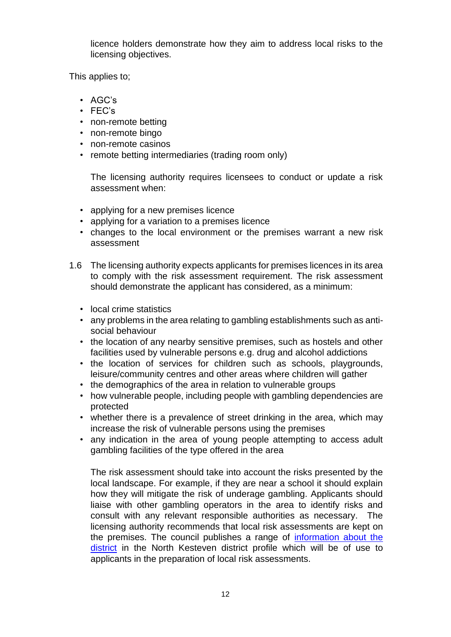licence holders demonstrate how they aim to address local risks to the licensing objectives.

This applies to;

- AGC's
- FEC's
- non-remote betting
- non-remote bingo
- non-remote casinos
- remote betting intermediaries (trading room only)

The licensing authority requires licensees to conduct or update a risk assessment when:

- applying for a new premises licence
- applying for a variation to a premises licence
- changes to the local environment or the premises warrant a new risk assessment
- 1.6 The licensing authority expects applicants for premises licences in its area to comply with the risk assessment requirement. The risk assessment should demonstrate the applicant has considered, as a minimum:
	- local crime statistics
	- any problems in the area relating to gambling establishments such as antisocial behaviour
	- the location of any nearby sensitive premises, such as hostels and other facilities used by vulnerable persons e.g. drug and alcohol addictions
	- the location of services for children such as schools, playgrounds, leisure/community centres and other areas where children will gather
	- the demographics of the area in relation to vulnerable groups
	- how vulnerable people, including people with gambling dependencies are protected
	- whether there is a prevalence of street drinking in the area, which may increase the risk of vulnerable persons using the premises
	- any indication in the area of young people attempting to access adult gambling facilities of the type offered in the area

The risk assessment should take into account the risks presented by the local landscape. For example, if they are near a school it should explain how they will mitigate the risk of underage gambling. Applicants should liaise with other gambling operators in the area to identify risks and consult with any relevant responsible authorities as necessary. The licensing authority recommends that local risk assessments are kept on the premises. The council publishes a range of [information about the](https://www.n-kesteven.gov.uk/your-council/facts-and-figures-about-the-council/information-on-the-district/) [district](https://www.n-kesteven.gov.uk/your-council/facts-and-figures-about-the-council/information-on-the-district/) in the North Kesteven district profile which will be of use to applicants in the preparation of local risk assessments.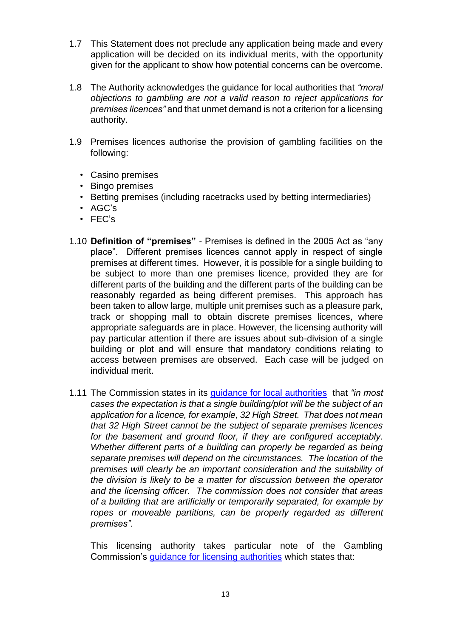- 1.7 This Statement does not preclude any application being made and every application will be decided on its individual merits, with the opportunity given for the applicant to show how potential concerns can be overcome.
- 1.8 The Authority acknowledges the guidance for local authorities that *"moral objections to gambling are not a valid reason to reject applications for premises licences"* and that unmet demand is not a criterion for a licensing authority.
- 1.9 Premises licences authorise the provision of gambling facilities on the following:
	- Casino premises
	- Bingo premises
	- Betting premises (including racetracks used by betting intermediaries)
	- AGC's
	- FEC's
- 1.10 **Definition of "premises"** Premises is defined in the 2005 Act as "any place". Different premises licences cannot apply in respect of single premises at different times. However, it is possible for a single building to be subject to more than one premises licence, provided they are for different parts of the building and the different parts of the building can be reasonably regarded as being different premises. This approach has been taken to allow large, multiple unit premises such as a pleasure park, track or shopping mall to obtain discrete premises licences, where appropriate safeguards are in place. However, the licensing authority will pay particular attention if there are issues about sub-division of a single building or plot and will ensure that mandatory conditions relating to access between premises are observed. Each case will be judged on individual merit.
- 1.11 The Commission states in its [guidance for local authorities](http://www.gamblingcommission.gov.uk/for-licensing-authorities/GLA/Part-7-Premises-licences.aspx#DynamicJumpMenuManager_1_Anchor_2) that *"in most cases the expectation is that a single building/plot will be the subject of an application for a licence, for example, 32 High Street. That does not mean that 32 High Street cannot be the subject of separate premises licences for the basement and ground floor, if they are configured acceptably. Whether different parts of a building can properly be regarded as being separate premises will depend on the circumstances. The location of the premises will clearly be an important consideration and the suitability of the division is likely to be a matter for discussion between the operator and the licensing officer. The commission does not consider that areas of a building that are artificially or temporarily separated, for example by ropes or moveable partitions, can be properly regarded as different premises".*

This licensing authority takes particular note of the Gambling Commission's [guidance for licensing authorities](http://www.gamblingcommission.gov.uk/for-licensing-authorities/GLA/Part-7-Premises-licences.aspx#DynamicJumpMenuManager_1_Anchor_4) which states that: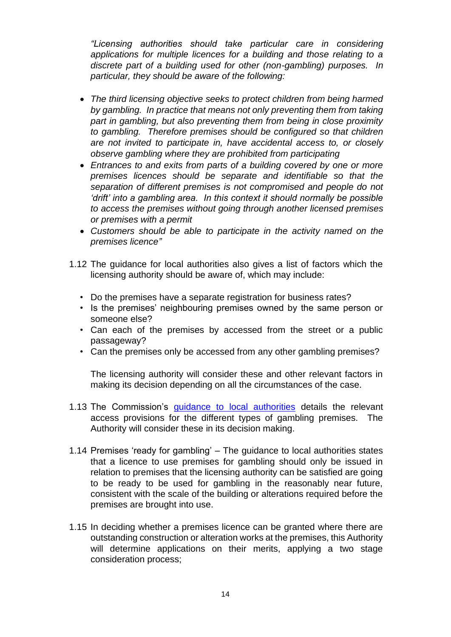*"Licensing authorities should take particular care in considering applications for multiple licences for a building and those relating to a discrete part of a building used for other (non-gambling) purposes. In particular, they should be aware of the following:* 

- *The third licensing objective seeks to protect children from being harmed by gambling. In practice that means not only preventing them from taking part in gambling, but also preventing them from being in close proximity to gambling. Therefore premises should be configured so that children are not invited to participate in, have accidental access to, or closely observe gambling where they are prohibited from participating*
- *Entrances to and exits from parts of a building covered by one or more premises licences should be separate and identifiable so that the separation of different premises is not compromised and people do not 'drift' into a gambling area. In this context it should normally be possible to access the premises without going through another licensed premises or premises with a permit*
- *Customers should be able to participate in the activity named on the premises licence"*
- 1.12 The guidance for local authorities also gives a list of factors which the licensing authority should be aware of, which may include:
	- Do the premises have a separate registration for business rates?
	- Is the premises' neighbouring premises owned by the same person or someone else?
	- Can each of the premises by accessed from the street or a public passageway?
	- Can the premises only be accessed from any other gambling premises?

The licensing authority will consider these and other relevant factors in making its decision depending on all the circumstances of the case.

- 1.13 The Commission's [guidance to local authorities](http://www.gamblingcommission.gov.uk/for-licensing-authorities/GLA/Guidance-to-licensing-authorities.aspx) details the relevant access provisions for the different types of gambling premises. The Authority will consider these in its decision making.
- 1.14 Premises 'ready for gambling' The guidance to local authorities states that a licence to use premises for gambling should only be issued in relation to premises that the licensing authority can be satisfied are going to be ready to be used for gambling in the reasonably near future, consistent with the scale of the building or alterations required before the premises are brought into use.
- 1.15 In deciding whether a premises licence can be granted where there are outstanding construction or alteration works at the premises, this Authority will determine applications on their merits, applying a two stage consideration process;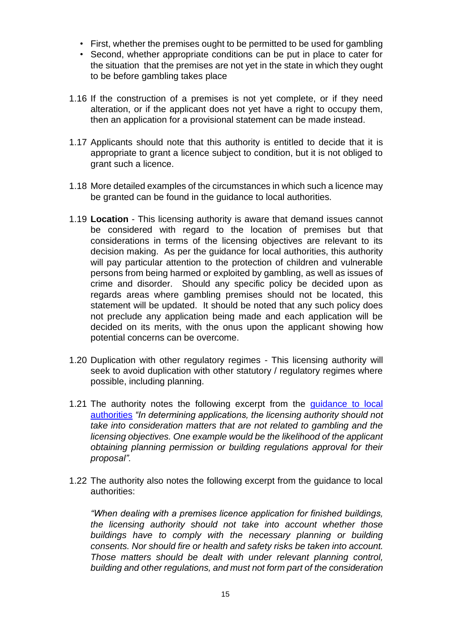- First, whether the premises ought to be permitted to be used for gambling
- Second, whether appropriate conditions can be put in place to cater for the situation that the premises are not yet in the state in which they ought to be before gambling takes place
- 1.16 If the construction of a premises is not yet complete, or if they need alteration, or if the applicant does not yet have a right to occupy them, then an application for a provisional statement can be made instead.
- 1.17 Applicants should note that this authority is entitled to decide that it is appropriate to grant a licence subject to condition, but it is not obliged to grant such a licence.
- 1.18 More detailed examples of the circumstances in which such a licence may be granted can be found in the guidance to local authorities.
- 1.19 **Location** This licensing authority is aware that demand issues cannot be considered with regard to the location of premises but that considerations in terms of the licensing objectives are relevant to its decision making. As per the guidance for local authorities, this authority will pay particular attention to the protection of children and vulnerable persons from being harmed or exploited by gambling, as well as issues of crime and disorder. Should any specific policy be decided upon as regards areas where gambling premises should not be located, this statement will be updated. It should be noted that any such policy does not preclude any application being made and each application will be decided on its merits, with the onus upon the applicant showing how potential concerns can be overcome.
- 1.20 Duplication with other regulatory regimes This licensing authority will seek to avoid duplication with other statutory / regulatory regimes where possible, including planning.
- 1.21 The authority notes the following excerpt from the quidance to local [authorities](http://www.gamblingcommission.gov.uk/for-licensing-authorities/GLA/Part-7-Premises-licences.aspx#DynamicJumpMenuManager_1_Anchor_7) *["](http://www.gamblingcommission.gov.uk/for-licensing-authorities/GLA/Part-7-Premises-licences.aspx#DynamicJumpMenuManager_1_Anchor_7)In determining applications, the licensing authority should not take into consideration matters that are not related to gambling and the licensing objectives. One example would be the likelihood of the applicant obtaining planning permission or building regulations approval for their proposal".*
- 1.22 The authority also notes the following excerpt from the guidance to local authorities:

*"When dealing with a premises licence application for finished buildings, the licensing authority should not take into account whether those buildings have to comply with the necessary planning or building consents. Nor should fire or health and safety risks be taken into account. Those matters should be dealt with under relevant planning control, building and other regulations, and must not form part of the consideration*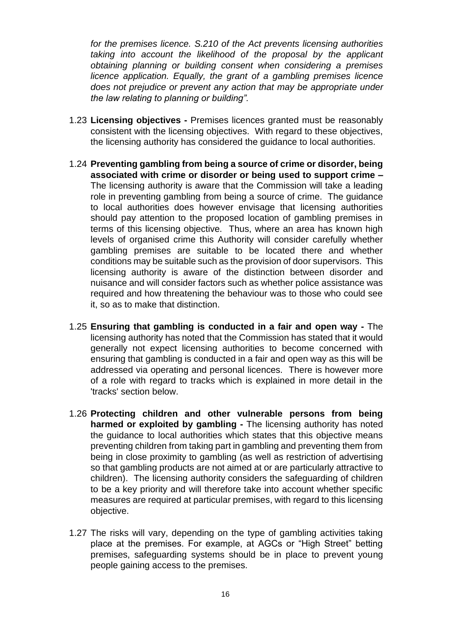*for the premises licence. S.210 of the Act prevents licensing authorities taking into account the likelihood of the proposal by the applicant obtaining planning or building consent when considering a premises licence application. Equally, the grant of a gambling premises licence does not prejudice or prevent any action that may be appropriate under the law relating to planning or building".* 

- 1.23 **Licensing objectives -** Premises licences granted must be reasonably consistent with the licensing objectives. With regard to these objectives, the licensing authority has considered the guidance to local authorities.
- 1.24 **Preventing gambling from being a source of crime or disorder, being associated with crime or disorder or being used to support crime –** The licensing authority is aware that the Commission will take a leading role in preventing gambling from being a source of crime. The guidance to local authorities does however envisage that licensing authorities should pay attention to the proposed location of gambling premises in terms of this licensing objective. Thus, where an area has known high levels of organised crime this Authority will consider carefully whether gambling premises are suitable to be located there and whether conditions may be suitable such as the provision of door supervisors. This licensing authority is aware of the distinction between disorder and nuisance and will consider factors such as whether police assistance was required and how threatening the behaviour was to those who could see it, so as to make that distinction.
- 1.25 **Ensuring that gambling is conducted in a fair and open way -** The licensing authority has noted that the Commission has stated that it would generally not expect licensing authorities to become concerned with ensuring that gambling is conducted in a fair and open way as this will be addressed via operating and personal licences. There is however more of a role with regard to tracks which is explained in more detail in the 'tracks' section below.
- 1.26 **Protecting children and other vulnerable persons from being harmed or exploited by gambling -** The licensing authority has noted the guidance to local authorities which states that this objective means preventing children from taking part in gambling and preventing them from being in close proximity to gambling (as well as restriction of advertising so that gambling products are not aimed at or are particularly attractive to children). The licensing authority considers the safeguarding of children to be a key priority and will therefore take into account whether specific measures are required at particular premises, with regard to this licensing objective.
- 1.27 The risks will vary, depending on the type of gambling activities taking place at the premises. For example, at AGCs or "High Street" betting premises, safeguarding systems should be in place to prevent young people gaining access to the premises.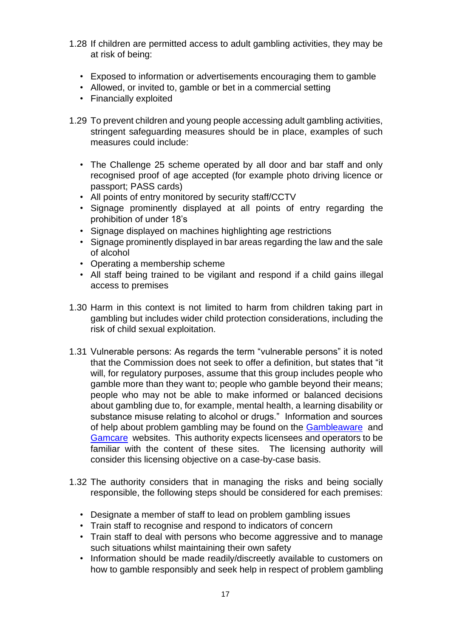- 1.28 If children are permitted access to adult gambling activities, they may be at risk of being:
	- Exposed to information or advertisements encouraging them to gamble
	- Allowed, or invited to, gamble or bet in a commercial setting
	- Financially exploited
- 1.29 To prevent children and young people accessing adult gambling activities, stringent safeguarding measures should be in place, examples of such measures could include:
	- The Challenge 25 scheme operated by all door and bar staff and only recognised proof of age accepted (for example photo driving licence or passport; PASS cards)
	- All points of entry monitored by security staff/CCTV
	- Signage prominently displayed at all points of entry regarding the prohibition of under 18's
	- Signage displayed on machines highlighting age restrictions
	- Signage prominently displayed in bar areas regarding the law and the sale of alcohol
	- Operating a membership scheme
	- All staff being trained to be vigilant and respond if a child gains illegal access to premises
- 1.30 Harm in this context is not limited to harm from children taking part in gambling but includes wider child protection considerations, including the risk of child sexual exploitation.
- 1.31 Vulnerable persons: As regards the term "vulnerable persons" it is noted that the Commission does not seek to offer a definition, but states that "it will, for regulatory purposes, assume that this group includes people who gamble more than they want to; people who gamble beyond their means; people who may not be able to make informed or balanced decisions about gambling due to, for example, mental health, a learning disability or substance misuse relating to alcohol or drugs." Information and sources of help about problem gambling may be found on the [Gambleaware](https://about.gambleaware.org/) and [Gamcare](http://www.gamcare.org.uk/) websites. This authority expects licensees and operators to be familiar with the content of these sites. The licensing authority will consider this licensing objective on a case-by-case basis.
- 1.32 The authority considers that in managing the risks and being socially responsible, the following steps should be considered for each premises:
	- Designate a member of staff to lead on problem gambling issues
	- Train staff to recognise and respond to indicators of concern
	- Train staff to deal with persons who become aggressive and to manage such situations whilst maintaining their own safety
	- Information should be made readily/discreetly available to customers on how to gamble responsibly and seek help in respect of problem gambling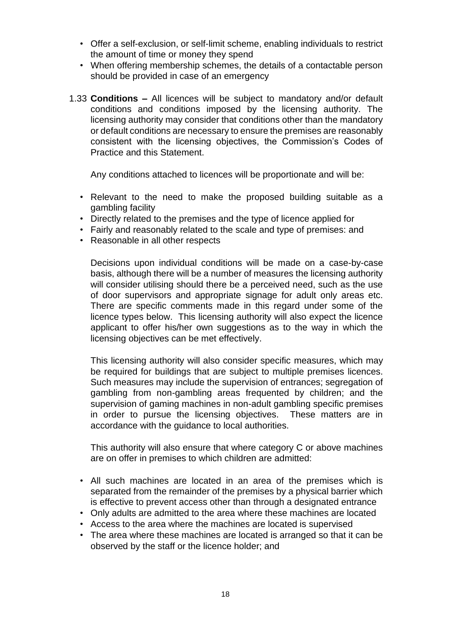- Offer a self-exclusion, or self-limit scheme, enabling individuals to restrict the amount of time or money they spend
- When offering membership schemes, the details of a contactable person should be provided in case of an emergency
- 1.33 **Conditions –** All licences will be subject to mandatory and/or default conditions and conditions imposed by the licensing authority. The licensing authority may consider that conditions other than the mandatory or default conditions are necessary to ensure the premises are reasonably consistent with the licensing objectives, the Commission's Codes of Practice and this Statement.

Any conditions attached to licences will be proportionate and will be:

- Relevant to the need to make the proposed building suitable as a gambling facility
- Directly related to the premises and the type of licence applied for
- Fairly and reasonably related to the scale and type of premises: and
- Reasonable in all other respects

Decisions upon individual conditions will be made on a case-by-case basis, although there will be a number of measures the licensing authority will consider utilising should there be a perceived need, such as the use of door supervisors and appropriate signage for adult only areas etc. There are specific comments made in this regard under some of the licence types below. This licensing authority will also expect the licence applicant to offer his/her own suggestions as to the way in which the licensing objectives can be met effectively.

This licensing authority will also consider specific measures, which may be required for buildings that are subject to multiple premises licences. Such measures may include the supervision of entrances; segregation of gambling from non-gambling areas frequented by children; and the supervision of gaming machines in non-adult gambling specific premises in order to pursue the licensing objectives. These matters are in accordance with the guidance to local authorities.

This authority will also ensure that where category C or above machines are on offer in premises to which children are admitted:

- All such machines are located in an area of the premises which is separated from the remainder of the premises by a physical barrier which is effective to prevent access other than through a designated entrance
- Only adults are admitted to the area where these machines are located
- Access to the area where the machines are located is supervised
- The area where these machines are located is arranged so that it can be observed by the staff or the licence holder; and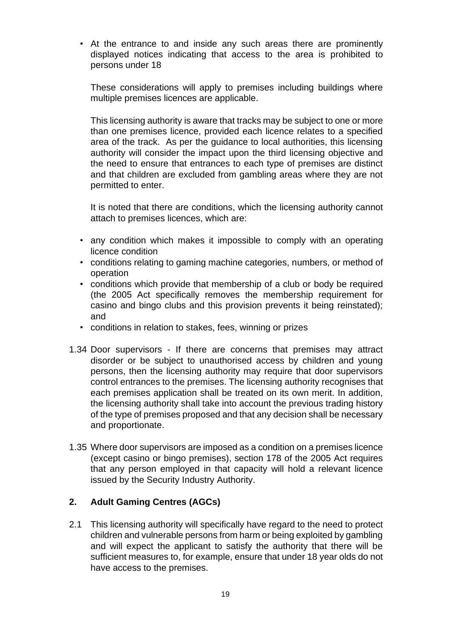• At the entrance to and inside any such areas there are prominently displayed notices indicating that access to the area is prohibited to persons under 18

These considerations will apply to premises including buildings where multiple premises licences are applicable.

This licensing authority is aware that tracks may be subject to one or more than one premises licence, provided each licence relates to a specified area of the track. As per the guidance to local authorities, this licensing authority will consider the impact upon the third licensing objective and the need to ensure that entrances to each type of premises are distinct and that children are excluded from gambling areas where they are not permitted to enter.

It is noted that there are conditions, which the licensing authority cannot attach to premises licences, which are:

- any condition which makes it impossible to comply with an operating licence condition
- conditions relating to gaming machine categories, numbers, or method of operation
- conditions which provide that membership of a club or body be required (the 2005 Act specifically removes the membership requirement for casino and bingo clubs and this provision prevents it being reinstated); and
- conditions in relation to stakes, fees, winning or prizes
- 1.34 Door supervisors If there are concerns that premises may attract disorder or be subject to unauthorised access by children and young persons, then the licensing authority may require that door supervisors control entrances to the premises. The licensing authority recognises that each premises application shall be treated on its own merit. In addition, the licensing authority shall take into account the previous trading history of the type of premises proposed and that any decision shall be necessary and proportionate.
- 1.35 Where door supervisors are imposed as a condition on a premises licence (except casino or bingo premises), section 178 of the 2005 Act requires that any person employed in that capacity will hold a relevant licence issued by the Security Industry Authority.

#### **2. Adult Gaming Centres (AGCs)**

2.1 This licensing authority will specifically have regard to the need to protect children and vulnerable persons from harm or being exploited by gambling and will expect the applicant to satisfy the authority that there will be sufficient measures to, for example, ensure that under 18 year olds do not have access to the premises.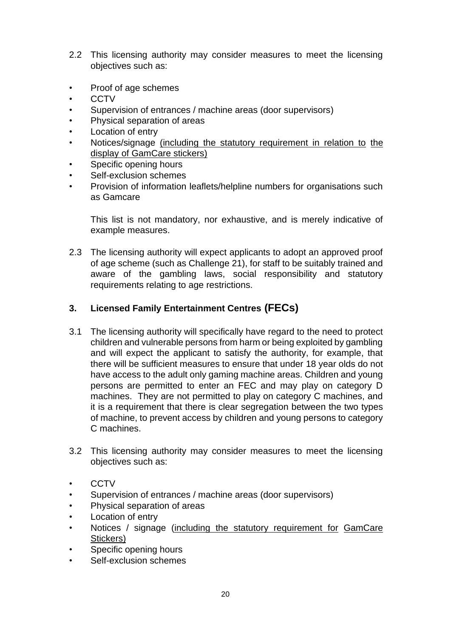- 2.2 This licensing authority may consider measures to meet the licensing objectives such as:
- Proof of age schemes
- **CCTV**
- Supervision of entrances / machine areas (door supervisors)
- Physical separation of areas
- **Location of entry**
- Notices/signage (including the statutory requirement in relation to the display of GamCare stickers)
- Specific opening hours
- Self-exclusion schemes
- Provision of information leaflets/helpline numbers for organisations such as Gamcare

This list is not mandatory, nor exhaustive, and is merely indicative of example measures.

2.3 The licensing authority will expect applicants to adopt an approved proof of age scheme (such as Challenge 21), for staff to be suitably trained and aware of the gambling laws, social responsibility and statutory requirements relating to age restrictions.

#### **3. Licensed Family Entertainment Centres (FECs)**

- 3.1 The licensing authority will specifically have regard to the need to protect children and vulnerable persons from harm or being exploited by gambling and will expect the applicant to satisfy the authority, for example, that there will be sufficient measures to ensure that under 18 year olds do not have access to the adult only gaming machine areas. Children and young persons are permitted to enter an FEC and may play on category D machines. They are not permitted to play on category C machines, and it is a requirement that there is clear segregation between the two types of machine, to prevent access by children and young persons to category C machines.
- 3.2 This licensing authority may consider measures to meet the licensing objectives such as:
- CCTV
- Supervision of entrances / machine areas (door supervisors)
- Physical separation of areas
- Location of entry
- Notices / signage (including the statutory requirement for GamCare Stickers)
- Specific opening hours
- Self-exclusion schemes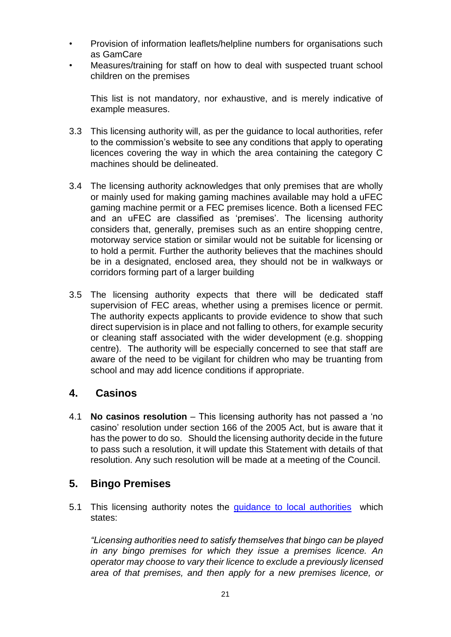- Provision of information leaflets/helpline numbers for organisations such as GamCare
- Measures/training for staff on how to deal with suspected truant school children on the premises

This list is not mandatory, nor exhaustive, and is merely indicative of example measures.

- 3.3 This licensing authority will, as per the guidance to local authorities, refer to the commission's website to see any conditions that apply to operating licences covering the way in which the area containing the category C machines should be delineated.
- 3.4 The licensing authority acknowledges that only premises that are wholly or mainly used for making gaming machines available may hold a uFEC gaming machine permit or a FEC premises licence. Both a licensed FEC and an uFEC are classified as 'premises'. The licensing authority considers that, generally, premises such as an entire shopping centre, motorway service station or similar would not be suitable for licensing or to hold a permit. Further the authority believes that the machines should be in a designated, enclosed area, they should not be in walkways or corridors forming part of a larger building
- 3.5 The licensing authority expects that there will be dedicated staff supervision of FEC areas, whether using a premises licence or permit. The authority expects applicants to provide evidence to show that such direct supervision is in place and not falling to others, for example security or cleaning staff associated with the wider development (e.g. shopping centre). The authority will be especially concerned to see that staff are aware of the need to be vigilant for children who may be truanting from school and may add licence conditions if appropriate.

## **4. Casinos**

4.1 **No casinos resolution** – This licensing authority has not passed a 'no casino' resolution under section 166 of the 2005 Act, but is aware that it has the power to do so. Should the licensing authority decide in the future to pass such a resolution, it will update this Statement with details of that resolution. Any such resolution will be made at a meeting of the Council.

## **5. Bingo Premises**

5.1 This licensing authority notes the *guidance to local authorities* which states:

*"Licensing authorities need to satisfy themselves that bingo can be played in any bingo premises for which they issue a premises licence. An operator may choose to vary their licence to exclude a previously licensed area of that premises, and then apply for a new premises licence, or*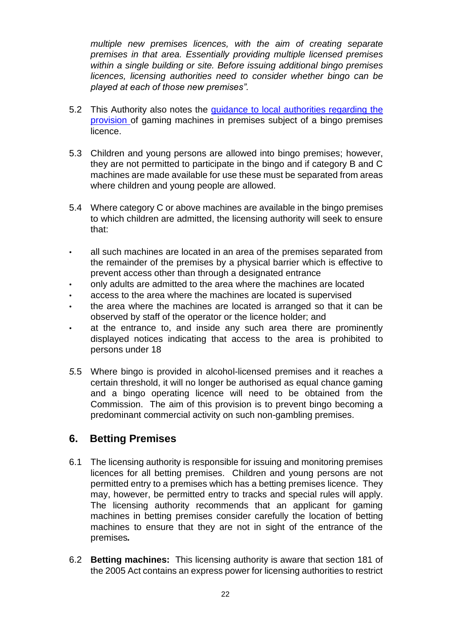*multiple new premises licences, with the aim of creating separate premises in that area. Essentially providing multiple licensed premises within a single building or site. Before issuing additional bingo premises licences, licensing authorities need to consider whether bingo can be played at each of those new premises".* 

- 5.2 This Authority also notes the [guidance to local authorities regarding the](http://www.gamblingcommission.gov.uk/for-licensing-authorities/GLA/Part-18-Bingo.aspx#DynamicJumpMenuManager_1_Anchor_3) [provision](http://www.gamblingcommission.gov.uk/for-licensing-authorities/GLA/Part-18-Bingo.aspx#DynamicJumpMenuManager_1_Anchor_3) of gaming machines in premises subject of a bingo premises licence.
- 5.3 Children and young persons are allowed into bingo premises; however, they are not permitted to participate in the bingo and if category B and C machines are made available for use these must be separated from areas where children and young people are allowed.
- 5.4 Where category C or above machines are available in the bingo premises to which children are admitted, the licensing authority will seek to ensure that:
- all such machines are located in an area of the premises separated from the remainder of the premises by a physical barrier which is effective to prevent access other than through a designated entrance
- only adults are admitted to the area where the machines are located
- access to the area where the machines are located is supervised
- the area where the machines are located is arranged so that it can be observed by staff of the operator or the licence holder; and
- at the entrance to, and inside any such area there are prominently displayed notices indicating that access to the area is prohibited to persons under 18
- *5.*5 Where bingo is provided in alcohol-licensed premises and it reaches a certain threshold, it will no longer be authorised as equal chance gaming and a bingo operating licence will need to be obtained from the Commission. The aim of this provision is to prevent bingo becoming a predominant commercial activity on such non-gambling premises.

## **6. Betting Premises**

- 6.1 The licensing authority is responsible for issuing and monitoring premises licences for all betting premises. Children and young persons are not permitted entry to a premises which has a betting premises licence. They may, however, be permitted entry to tracks and special rules will apply. The licensing authority recommends that an applicant for gaming machines in betting premises consider carefully the location of betting machines to ensure that they are not in sight of the entrance of the premises*.*
- 6.2 **Betting machines:** This licensing authority is aware that section 181 of the 2005 Act contains an express power for licensing authorities to restrict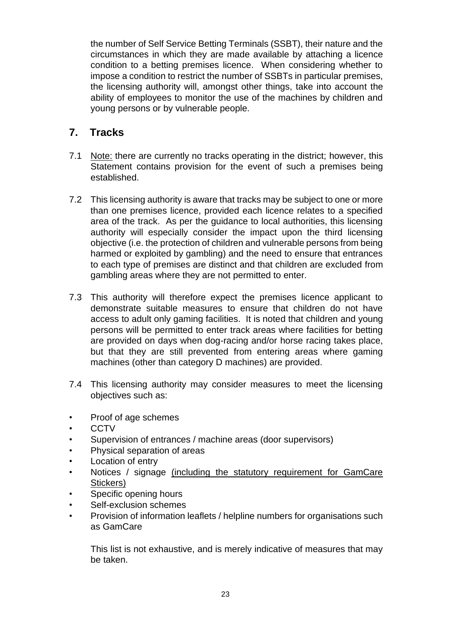the number of Self Service Betting Terminals (SSBT), their nature and the circumstances in which they are made available by attaching a licence condition to a betting premises licence. When considering whether to impose a condition to restrict the number of SSBTs in particular premises, the licensing authority will, amongst other things, take into account the ability of employees to monitor the use of the machines by children and young persons or by vulnerable people.

## **7. Tracks**

- 7.1Note: there are currently no tracks operating in the district; however, this Statement contains provision for the event of such a premises being established.
- 7.2 This licensing authority is aware that tracks may be subject to one or more than one premises licence, provided each licence relates to a specified area of the track. As per the guidance to local authorities, this licensing authority will especially consider the impact upon the third licensing objective (i.e. the protection of children and vulnerable persons from being harmed or exploited by gambling) and the need to ensure that entrances to each type of premises are distinct and that children are excluded from gambling areas where they are not permitted to enter.
- 7.3 This authority will therefore expect the premises licence applicant to demonstrate suitable measures to ensure that children do not have access to adult only gaming facilities. It is noted that children and young persons will be permitted to enter track areas where facilities for betting are provided on days when dog-racing and/or horse racing takes place, but that they are still prevented from entering areas where gaming machines (other than category D machines) are provided.
- 7.4 This licensing authority may consider measures to meet the licensing objectives such as:
- Proof of age schemes
- CCTV
- Supervision of entrances / machine areas (door supervisors)
- Physical separation of areas
- Location of entry
- Notices / signage (including the statutory requirement for GamCare Stickers)
- Specific opening hours
- Self-exclusion schemes
- Provision of information leaflets / helpline numbers for organisations such as GamCare

This list is not exhaustive, and is merely indicative of measures that may be taken.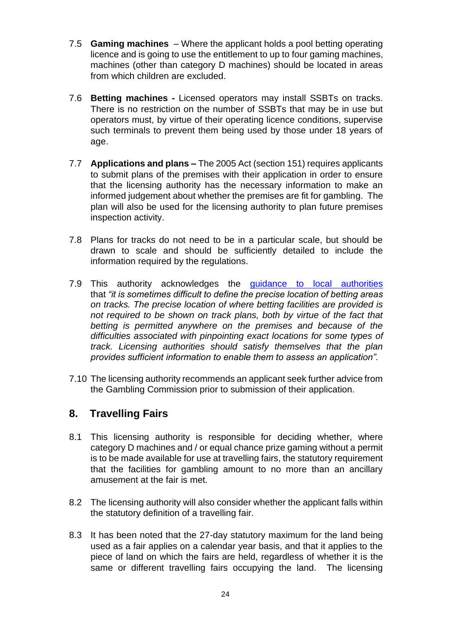- 7.5 **Gaming machines** Where the applicant holds a pool betting operating licence and is going to use the entitlement to up to four gaming machines, machines (other than category D machines) should be located in areas from which children are excluded.
- 7.6 **Betting machines -** Licensed operators may install SSBTs on tracks. There is no restriction on the number of SSBTs that may be in use but operators must, by virtue of their operating licence conditions, supervise such terminals to prevent them being used by those under 18 years of age.
- 7.7 **Applications and plans** *–* The 2005 Act (section 151) requires applicants to submit plans of the premises with their application in order to ensure that the licensing authority has the necessary information to make an informed judgement about whether the premises are fit for gambling. The plan will also be used for the licensing authority to plan future premises inspection activity.
- 7.8 Plans for tracks do not need to be in a particular scale, but should be drawn to scale and should be sufficiently detailed to include the information required by the regulations.
- 7.9 This authority acknowledges the quidance to local authorities that *"it is sometimes difficult to define the precise location of betting areas on tracks. The precise location of where betting facilities are provided is not required to be shown on track plans, both by virtue of the fact that betting is permitted anywhere on the premises and because of the difficulties associated with pinpointing exact locations for some types of track. Licensing authorities should satisfy themselves that the plan provides sufficient information to enable them to assess an application".*
- 7.10 The licensing authority recommends an applicant seek further advice from the Gambling Commission prior to submission of their application.

## **8. Travelling Fairs**

- 8.1 This licensing authority is responsible for deciding whether, where category D machines and / or equal chance prize gaming without a permit is to be made available for use at travelling fairs, the statutory requirement that the facilities for gambling amount to no more than an ancillary amusement at the fair is met.
- 8.2 The licensing authority will also consider whether the applicant falls within the statutory definition of a travelling fair.
- 8.3 It has been noted that the 27-day statutory maximum for the land being used as a fair applies on a calendar year basis, and that it applies to the piece of land on which the fairs are held, regardless of whether it is the same or different travelling fairs occupying the land. The licensing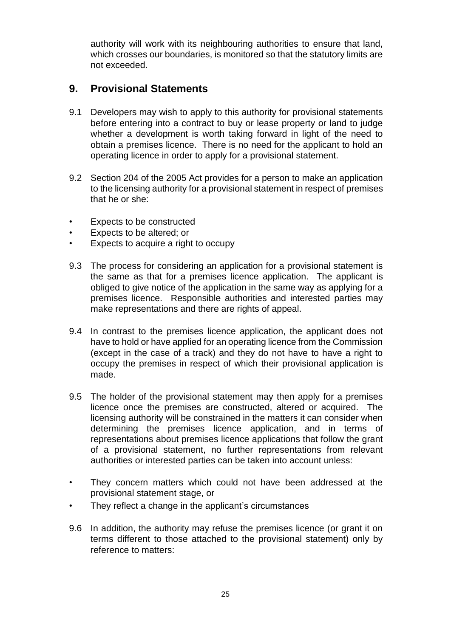authority will work with its neighbouring authorities to ensure that land, which crosses our boundaries, is monitored so that the statutory limits are not exceeded.

## **9. Provisional Statements**

- 9.1 Developers may wish to apply to this authority for provisional statements before entering into a contract to buy or lease property or land to judge whether a development is worth taking forward in light of the need to obtain a premises licence. There is no need for the applicant to hold an operating licence in order to apply for a provisional statement.
- 9.2 Section 204 of the 2005 Act provides for a person to make an application to the licensing authority for a provisional statement in respect of premises that he or she:
- Expects to be constructed
- Expects to be altered; or
- Expects to acquire a right to occupy
- 9.3 The process for considering an application for a provisional statement is the same as that for a premises licence application. The applicant is obliged to give notice of the application in the same way as applying for a premises licence. Responsible authorities and interested parties may make representations and there are rights of appeal.
- 9.4 In contrast to the premises licence application, the applicant does not have to hold or have applied for an operating licence from the Commission (except in the case of a track) and they do not have to have a right to occupy the premises in respect of which their provisional application is made.
- 9.5 The holder of the provisional statement may then apply for a premises licence once the premises are constructed, altered or acquired. The licensing authority will be constrained in the matters it can consider when determining the premises licence application, and in terms of representations about premises licence applications that follow the grant of a provisional statement, no further representations from relevant authorities or interested parties can be taken into account unless:
- They concern matters which could not have been addressed at the provisional statement stage, or
- They reflect a change in the applicant's circumstances
- 9.6 In addition, the authority may refuse the premises licence (or grant it on terms different to those attached to the provisional statement) only by reference to matters: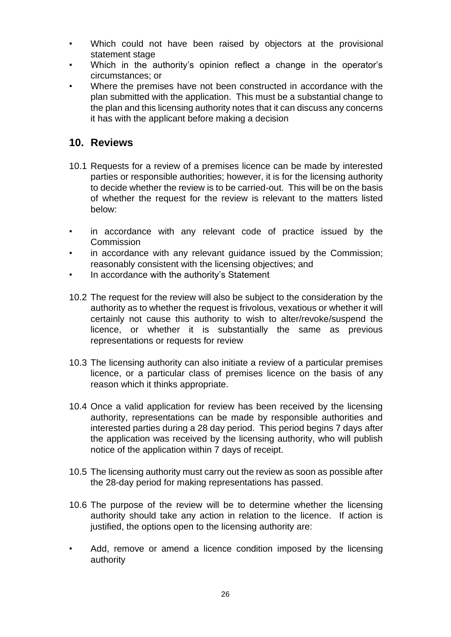- Which could not have been raised by objectors at the provisional statement stage
- Which in the authority's opinion reflect a change in the operator's circumstances; or
- Where the premises have not been constructed in accordance with the plan submitted with the application. This must be a substantial change to the plan and this licensing authority notes that it can discuss any concerns it has with the applicant before making a decision

## **10. Reviews**

- 10.1 Requests for a review of a premises licence can be made by interested parties or responsible authorities; however, it is for the licensing authority to decide whether the review is to be carried-out. This will be on the basis of whether the request for the review is relevant to the matters listed below:
- in accordance with any relevant code of practice issued by the **Commission**
- in accordance with any relevant guidance issued by the Commission; reasonably consistent with the licensing objectives; and
- In accordance with the authority's Statement
- 10.2 The request for the review will also be subject to the consideration by the authority as to whether the request is frivolous, vexatious or whether it will certainly not cause this authority to wish to alter/revoke/suspend the licence, or whether it is substantially the same as previous representations or requests for review
- 10.3 The licensing authority can also initiate a review of a particular premises licence, or a particular class of premises licence on the basis of any reason which it thinks appropriate.
- 10.4 Once a valid application for review has been received by the licensing authority, representations can be made by responsible authorities and interested parties during a 28 day period. This period begins 7 days after the application was received by the licensing authority, who will publish notice of the application within 7 days of receipt.
- 10.5 The licensing authority must carry out the review as soon as possible after the 28-day period for making representations has passed.
- 10.6 The purpose of the review will be to determine whether the licensing authority should take any action in relation to the licence. If action is justified, the options open to the licensing authority are:
- Add, remove or amend a licence condition imposed by the licensing authority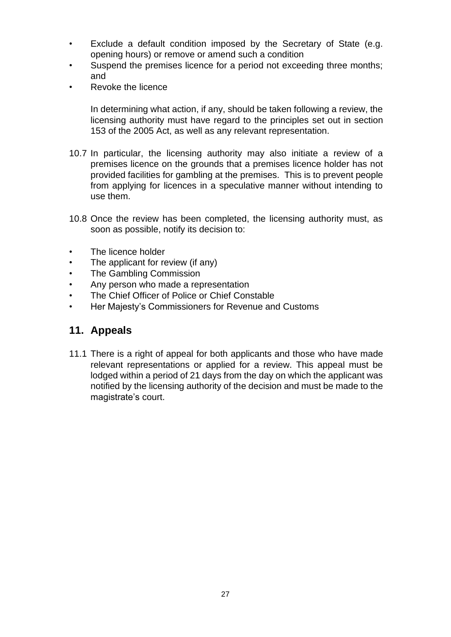- Exclude a default condition imposed by the Secretary of State (e.g. opening hours) or remove or amend such a condition
- Suspend the premises licence for a period not exceeding three months; and
- Revoke the licence

In determining what action, if any, should be taken following a review, the licensing authority must have regard to the principles set out in section 153 of the 2005 Act, as well as any relevant representation.

- 10.7 In particular, the licensing authority may also initiate a review of a premises licence on the grounds that a premises licence holder has not provided facilities for gambling at the premises. This is to prevent people from applying for licences in a speculative manner without intending to use them.
- 10.8 Once the review has been completed, the licensing authority must, as soon as possible, notify its decision to:
- The licence holder
- The applicant for review (if any)
- The Gambling Commission
- Any person who made a representation
- The Chief Officer of Police or Chief Constable
- Her Majesty's Commissioners for Revenue and Customs

## **11. Appeals**

11.1 There is a right of appeal for both applicants and those who have made relevant representations or applied for a review. This appeal must be lodged within a period of 21 days from the day on which the applicant was notified by the licensing authority of the decision and must be made to the magistrate's court.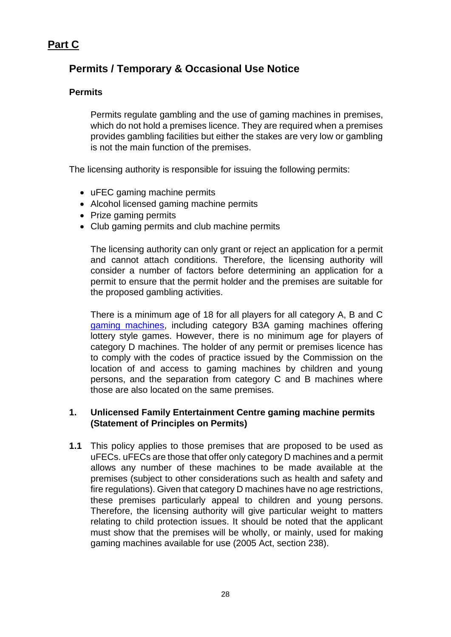## **Part C**

## **Permits / Temporary & Occasional Use Notice**

#### **Permits**

Permits regulate gambling and the use of gaming machines in premises, which do not hold a premises licence. They are required when a premises provides gambling facilities but either the stakes are very low or gambling is not the main function of the premises.

The licensing authority is responsible for issuing the following permits:

- uFEC gaming machine permits
- Alcohol licensed gaming machine permits
- Prize gaming permits
- Club gaming permits and club machine permits

The licensing authority can only grant or reject an application for a permit and cannot attach conditions. Therefore, the licensing authority will consider a number of factors before determining an application for a permit to ensure that the permit holder and the premises are suitable for the proposed gambling activities.

There is a minimum age of 18 for all players for all category A, B and C [gaming machines,](http://www.gamblingcommission.gov.uk/for-gambling-businesses/Compliance/Sector-specific-compliance/Arcades-and-machines/Gaming-machine-categories/Gaming-machine-categories.aspx) including category B3A gaming machines offering lottery style games. However, there is no minimum age for players of category D machines. The holder of any permit or premises licence has to comply with the codes of practice issued by the Commission on the location of and access to gaming machines by children and young persons, and the separation from category C and B machines where those are also located on the same premises.

#### **1. Unlicensed Family Entertainment Centre gaming machine permits (Statement of Principles on Permits)**

**1.1** This policy applies to those premises that are proposed to be used as uFECs. uFECs are those that offer only category D machines and a permit allows any number of these machines to be made available at the premises (subject to other considerations such as health and safety and fire regulations). Given that category D machines have no age restrictions, these premises particularly appeal to children and young persons. Therefore, the licensing authority will give particular weight to matters relating to child protection issues. It should be noted that the applicant must show that the premises will be wholly, or mainly, used for making gaming machines available for use (2005 Act, section 238).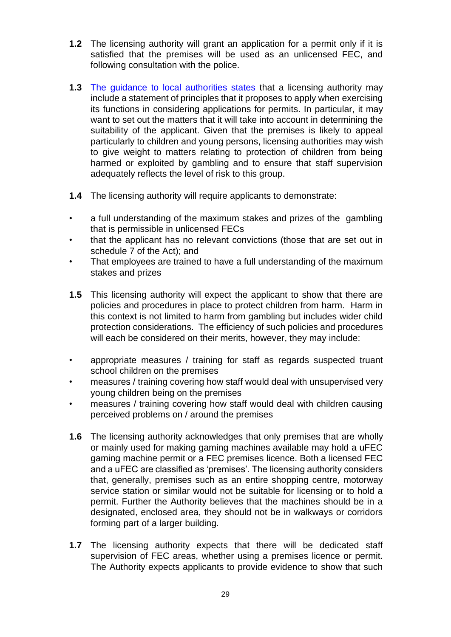- **1.2** The licensing authority will grant an application for a permit only if it is satisfied that the premises will be used as an unlicensed FEC, and following consultation with the police.
- **1.3** [The guidance to local authorities states](http://www.gamblingcommission.gov.uk/for-licensing-authorities/GLA/Part-24-Unlicensed-family-entertainment-centres.aspx#DynamicJumpMenuManager_1_Anchor_2) that a licensing authority may include a statement of principles that it proposes to apply when exercising its functions in considering applications for permits. In particular, it may want to set out the matters that it will take into account in determining the suitability of the applicant. Given that the premises is likely to appeal particularly to children and young persons, licensing authorities may wish to give weight to matters relating to protection of children from being harmed or exploited by gambling and to ensure that staff supervision adequately reflects the level of risk to this group.
- **1.4** The licensing authority will require applicants to demonstrate:
- a full understanding of the maximum stakes and prizes of the gambling that is permissible in unlicensed FECs
- that the applicant has no relevant convictions (those that are set out in schedule 7 of the Act); and
- That employees are trained to have a full understanding of the maximum stakes and prizes
- **1.5** This licensing authority will expect the applicant to show that there are policies and procedures in place to protect children from harm. Harm in this context is not limited to harm from gambling but includes wider child protection considerations. The efficiency of such policies and procedures will each be considered on their merits, however, they may include:
- appropriate measures / training for staff as regards suspected truant school children on the premises
- measures / training covering how staff would deal with unsupervised very young children being on the premises
- measures / training covering how staff would deal with children causing perceived problems on / around the premises
- **1.6** The licensing authority acknowledges that only premises that are wholly or mainly used for making gaming machines available may hold a uFEC gaming machine permit or a FEC premises licence. Both a licensed FEC and a uFEC are classified as 'premises'. The licensing authority considers that, generally, premises such as an entire shopping centre, motorway service station or similar would not be suitable for licensing or to hold a permit. Further the Authority believes that the machines should be in a designated, enclosed area, they should not be in walkways or corridors forming part of a larger building.
- **1.7** The licensing authority expects that there will be dedicated staff supervision of FEC areas, whether using a premises licence or permit. The Authority expects applicants to provide evidence to show that such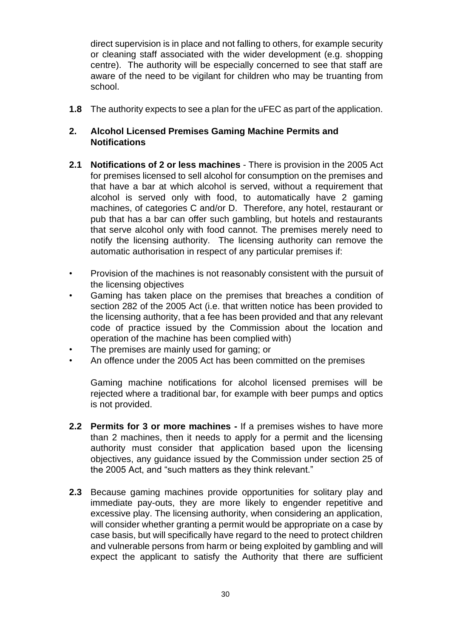direct supervision is in place and not falling to others, for example security or cleaning staff associated with the wider development (e.g. shopping centre). The authority will be especially concerned to see that staff are aware of the need to be vigilant for children who may be truanting from school.

**1.8** The authority expects to see a plan for the uFEC as part of the application.

#### **2. Alcohol Licensed Premises Gaming Machine Permits and Notifications**

- **2.1 Notifications of 2 or less machines** There is provision in the 2005 Act for premises licensed to sell alcohol for consumption on the premises and that have a bar at which alcohol is served, without a requirement that alcohol is served only with food, to automatically have 2 gaming machines, of categories C and/or D. Therefore, any hotel, restaurant or pub that has a bar can offer such gambling, but hotels and restaurants that serve alcohol only with food cannot. The premises merely need to notify the licensing authority. The licensing authority can remove the automatic authorisation in respect of any particular premises if:
- Provision of the machines is not reasonably consistent with the pursuit of the licensing objectives
- Gaming has taken place on the premises that breaches a condition of section 282 of the 2005 Act (i.e. that written notice has been provided to the licensing authority, that a fee has been provided and that any relevant code of practice issued by the Commission about the location and operation of the machine has been complied with)
- The premises are mainly used for gaming; or
- An offence under the 2005 Act has been committed on the premises

Gaming machine notifications for alcohol licensed premises will be rejected where a traditional bar, for example with beer pumps and optics is not provided.

- **2.2 Permits for 3 or more machines -** If a premises wishes to have more than 2 machines, then it needs to apply for a permit and the licensing authority must consider that application based upon the licensing objectives, any guidance issued by the Commission under section 25 of the 2005 Act, and "such matters as they think relevant."
- **2.3** Because gaming machines provide opportunities for solitary play and immediate pay-outs, they are more likely to engender repetitive and excessive play. The licensing authority, when considering an application, will consider whether granting a permit would be appropriate on a case by case basis, but will specifically have regard to the need to protect children and vulnerable persons from harm or being exploited by gambling and will expect the applicant to satisfy the Authority that there are sufficient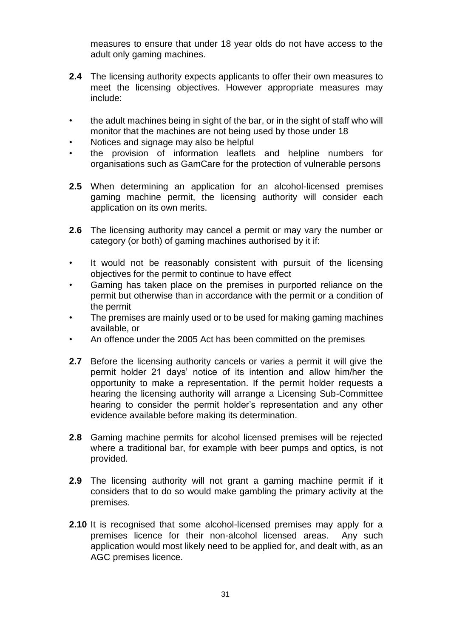measures to ensure that under 18 year olds do not have access to the adult only gaming machines.

- **2.4** The licensing authority expects applicants to offer their own measures to meet the licensing objectives. However appropriate measures may include:
- the adult machines being in sight of the bar, or in the sight of staff who will monitor that the machines are not being used by those under 18
- Notices and signage may also be helpful
- the provision of information leaflets and helpline numbers for organisations such as GamCare for the protection of vulnerable persons
- **2.5** When determining an application for an alcohol-licensed premises gaming machine permit, the licensing authority will consider each application on its own merits.
- **2.6** The licensing authority may cancel a permit or may vary the number or category (or both) of gaming machines authorised by it if:
- It would not be reasonably consistent with pursuit of the licensing objectives for the permit to continue to have effect
- Gaming has taken place on the premises in purported reliance on the permit but otherwise than in accordance with the permit or a condition of the permit
- The premises are mainly used or to be used for making gaming machines available, or
- An offence under the 2005 Act has been committed on the premises
- **2.7** Before the licensing authority cancels or varies a permit it will give the permit holder 21 days' notice of its intention and allow him/her the opportunity to make a representation. If the permit holder requests a hearing the licensing authority will arrange a Licensing Sub-Committee hearing to consider the permit holder's representation and any other evidence available before making its determination.
- **2.8** Gaming machine permits for alcohol licensed premises will be rejected where a traditional bar, for example with beer pumps and optics, is not provided.
- **2.9** The licensing authority will not grant a gaming machine permit if it considers that to do so would make gambling the primary activity at the premises.
- **2.10** It is recognised that some alcohol-licensed premises may apply for a premises licence for their non-alcohol licensed areas. Any such application would most likely need to be applied for, and dealt with, as an AGC premises licence.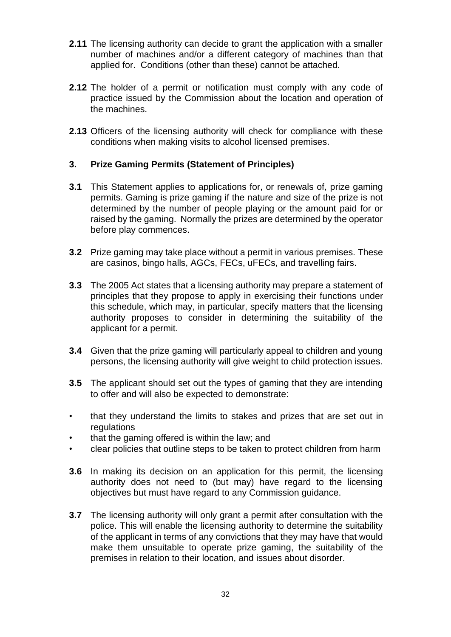- **2.11** The licensing authority can decide to grant the application with a smaller number of machines and/or a different category of machines than that applied for. Conditions (other than these) cannot be attached.
- **2.12** The holder of a permit or notification must comply with any code of practice issued by the Commission about the location and operation of the machines.
- **2.13** Officers of the licensing authority will check for compliance with these conditions when making visits to alcohol licensed premises.

#### **3. Prize Gaming Permits (Statement of Principles)**

- **3.1** This Statement applies to applications for, or renewals of, prize gaming permits. Gaming is prize gaming if the nature and size of the prize is not determined by the number of people playing or the amount paid for or raised by the gaming. Normally the prizes are determined by the operator before play commences.
- **3.2** Prize gaming may take place without a permit in various premises. These are casinos, bingo halls, AGCs, FECs, uFECs, and travelling fairs.
- **3.3** The 2005 Act states that a licensing authority may prepare a statement of principles that they propose to apply in exercising their functions under this schedule, which may, in particular, specify matters that the licensing authority proposes to consider in determining the suitability of the applicant for a permit.
- **3.4** Given that the prize gaming will particularly appeal to children and young persons, the licensing authority will give weight to child protection issues.
- **3.5** The applicant should set out the types of gaming that they are intending to offer and will also be expected to demonstrate:
- that they understand the limits to stakes and prizes that are set out in regulations
- that the gaming offered is within the law; and
- clear policies that outline steps to be taken to protect children from harm
- **3.6** In making its decision on an application for this permit, the licensing authority does not need to (but may) have regard to the licensing objectives but must have regard to any Commission guidance.
- **3.7** The licensing authority will only grant a permit after consultation with the police. This will enable the licensing authority to determine the suitability of the applicant in terms of any convictions that they may have that would make them unsuitable to operate prize gaming, the suitability of the premises in relation to their location, and issues about disorder.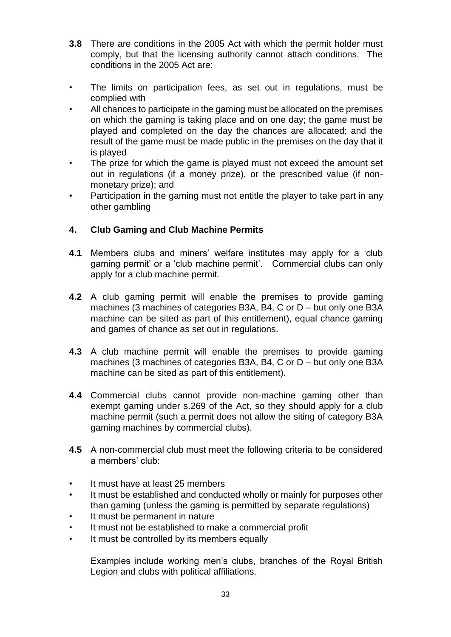- **3.8** There are conditions in the 2005 Act with which the permit holder must comply, but that the licensing authority cannot attach conditions. The conditions in the 2005 Act are:
- The limits on participation fees, as set out in regulations, must be complied with
- All chances to participate in the gaming must be allocated on the premises on which the gaming is taking place and on one day; the game must be played and completed on the day the chances are allocated; and the result of the game must be made public in the premises on the day that it is played
- The prize for which the game is played must not exceed the amount set out in regulations (if a money prize), or the prescribed value (if nonmonetary prize); and
- Participation in the gaming must not entitle the player to take part in any other gambling

#### **4. Club Gaming and Club Machine Permits**

- **4.1** Members clubs and miners' welfare institutes may apply for a 'club gaming permit' or a 'club machine permit'. Commercial clubs can only apply for a club machine permit.
- **4.2** A club gaming permit will enable the premises to provide gaming machines (3 machines of categories B3A, B4, C or D – but only one B3A machine can be sited as part of this entitlement), equal chance gaming and games of chance as set out in regulations.
- **4.3** A club machine permit will enable the premises to provide gaming machines (3 machines of categories B3A, B4, C or D – but only one B3A machine can be sited as part of this entitlement).
- **4.4** Commercial clubs cannot provide non-machine gaming other than exempt gaming under s.269 of the Act, so they should apply for a club machine permit (such a permit does not allow the siting of category B3A gaming machines by commercial clubs).
- **4.5** A non-commercial club must meet the following criteria to be considered a members' club:
- It must have at least 25 members
- It must be established and conducted wholly or mainly for purposes other than gaming (unless the gaming is permitted by separate regulations)
- It must be permanent in nature
- It must not be established to make a commercial profit
- It must be controlled by its members equally

Examples include working men's clubs, branches of the Royal British Legion and clubs with political affiliations.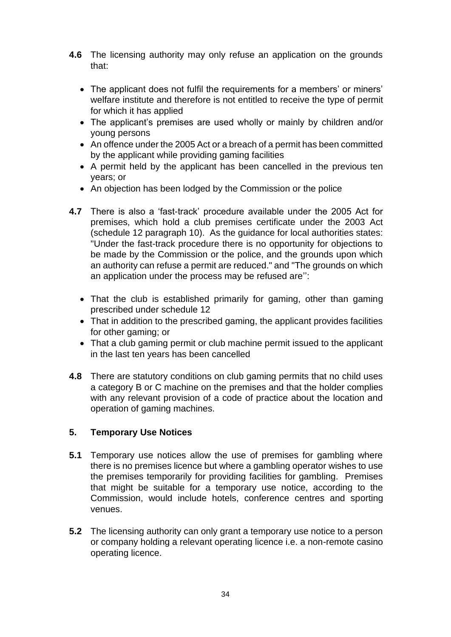- **4.6** The licensing authority may only refuse an application on the grounds that:
	- The applicant does not fulfil the requirements for a members' or miners' welfare institute and therefore is not entitled to receive the type of permit for which it has applied
	- The applicant's premises are used wholly or mainly by children and/or young persons
	- An offence under the 2005 Act or a breach of a permit has been committed by the applicant while providing gaming facilities
	- A permit held by the applicant has been cancelled in the previous ten years; or
	- An objection has been lodged by the Commission or the police
- **4.7** There is also a 'fast-track' procedure available under the 2005 Act for premises, which hold a club premises certificate under the 2003 Act (schedule 12 paragraph 10). As the guidance for local authorities states: "Under the fast-track procedure there is no opportunity for objections to be made by the Commission or the police, and the grounds upon which an authority can refuse a permit are reduced." and "The grounds on which an application under the process may be refused are'':
	- That the club is established primarily for gaming, other than gaming prescribed under schedule 12
	- That in addition to the prescribed gaming, the applicant provides facilities for other gaming; or
	- That a club gaming permit or club machine permit issued to the applicant in the last ten years has been cancelled
- **4.8** There are statutory conditions on club gaming permits that no child uses a category B or C machine on the premises and that the holder complies with any relevant provision of a code of practice about the location and operation of gaming machines.

#### **5. Temporary Use Notices**

- **5.1** Temporary use notices allow the use of premises for gambling where there is no premises licence but where a gambling operator wishes to use the premises temporarily for providing facilities for gambling. Premises that might be suitable for a temporary use notice, according to the Commission, would include hotels, conference centres and sporting venues.
- **5.2** The licensing authority can only grant a temporary use notice to a person or company holding a relevant operating licence i.e. a non-remote casino operating licence.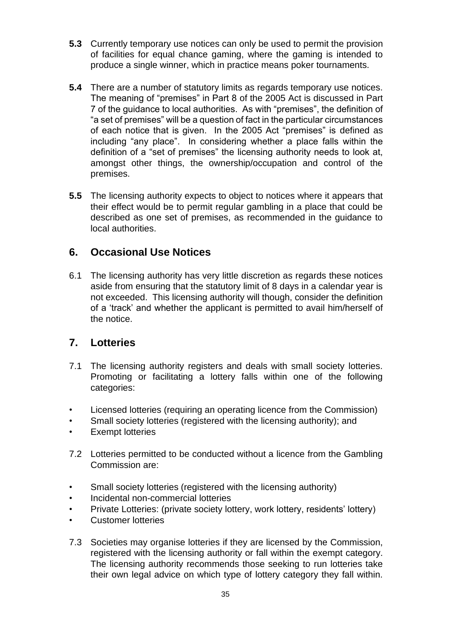- **5.3** Currently temporary use notices can only be used to permit the provision of facilities for equal chance gaming, where the gaming is intended to produce a single winner, which in practice means poker tournaments.
- **5.4** There are a number of statutory limits as regards temporary use notices. The meaning of "premises" in Part 8 of the 2005 Act is discussed in Part 7 of the guidance to local authorities. As with "premises", the definition of "a set of premises" will be a question of fact in the particular circumstances of each notice that is given. In the 2005 Act "premises" is defined as including "any place". In considering whether a place falls within the definition of a "set of premises" the licensing authority needs to look at, amongst other things, the ownership/occupation and control of the premises.
- **5.5** The licensing authority expects to object to notices where it appears that their effect would be to permit regular gambling in a place that could be described as one set of premises, as recommended in the guidance to local authorities.

## **6. Occasional Use Notices**

6.1 The licensing authority has very little discretion as regards these notices aside from ensuring that the statutory limit of 8 days in a calendar year is not exceeded. This licensing authority will though, consider the definition of a 'track' and whether the applicant is permitted to avail him/herself of the notice.

## **7. Lotteries**

- 7.1 The licensing authority registers and deals with small society lotteries. Promoting or facilitating a lottery falls within one of the following categories:
- Licensed lotteries (requiring an operating licence from the Commission)
- Small society lotteries (registered with the licensing authority); and
- Exempt lotteries
- 7.2 Lotteries permitted to be conducted without a licence from the Gambling Commission are:
- Small society lotteries (registered with the licensing authority)
- Incidental non-commercial lotteries
- Private Lotteries: (private society lottery, work lottery, residents' lottery)
- Customer lotteries
- 7.3 Societies may organise lotteries if they are licensed by the Commission, registered with the licensing authority or fall within the exempt category. The licensing authority recommends those seeking to run lotteries take their own legal advice on which type of lottery category they fall within.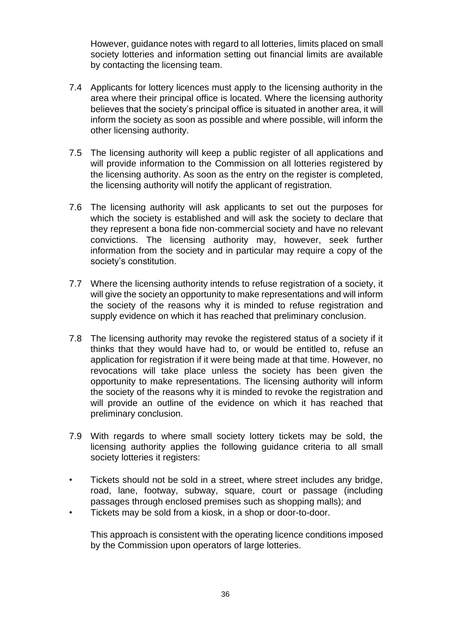However, guidance notes with regard to all lotteries, limits placed on small society lotteries and information setting out financial limits are available by contacting the licensing team.

- 7.4 Applicants for lottery licences must apply to the licensing authority in the area where their principal office is located. Where the licensing authority believes that the society's principal office is situated in another area, it will inform the society as soon as possible and where possible, will inform the other licensing authority.
- 7.5 The licensing authority will keep a public register of all applications and will provide information to the Commission on all lotteries registered by the licensing authority. As soon as the entry on the register is completed, the licensing authority will notify the applicant of registration.
- 7.6 The licensing authority will ask applicants to set out the purposes for which the society is established and will ask the society to declare that they represent a bona fide non-commercial society and have no relevant convictions. The licensing authority may, however, seek further information from the society and in particular may require a copy of the society's constitution.
- 7.7 Where the licensing authority intends to refuse registration of a society, it will give the society an opportunity to make representations and will inform the society of the reasons why it is minded to refuse registration and supply evidence on which it has reached that preliminary conclusion.
- 7.8 The licensing authority may revoke the registered status of a society if it thinks that they would have had to, or would be entitled to, refuse an application for registration if it were being made at that time. However, no revocations will take place unless the society has been given the opportunity to make representations. The licensing authority will inform the society of the reasons why it is minded to revoke the registration and will provide an outline of the evidence on which it has reached that preliminary conclusion.
- 7.9 With regards to where small society lottery tickets may be sold, the licensing authority applies the following guidance criteria to all small society lotteries it registers:
- Tickets should not be sold in a street, where street includes any bridge, road, lane, footway, subway, square, court or passage (including passages through enclosed premises such as shopping malls); and
- Tickets may be sold from a kiosk, in a shop or door-to-door.

This approach is consistent with the operating licence conditions imposed by the Commission upon operators of large lotteries.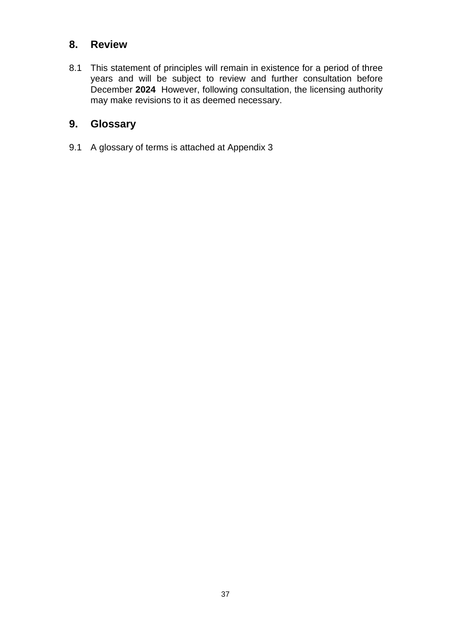## **8. Review**

8.1 This statement of principles will remain in existence for a period of three years and will be subject to review and further consultation before December **2024** However, following consultation, the licensing authority may make revisions to it as deemed necessary.

## **9. Glossary**

9.1 A glossary of terms is attached at Appendix 3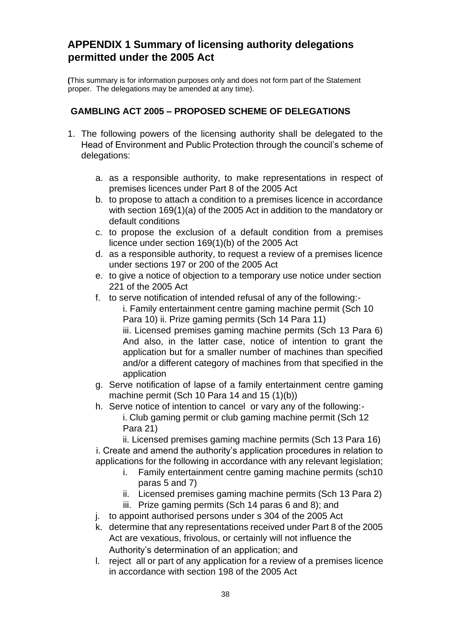## **APPENDIX 1 Summary of licensing authority delegations permitted under the 2005 Act**

**(**This summary is for information purposes only and does not form part of the Statement proper. The delegations may be amended at any time).

#### **GAMBLING ACT 2005 – PROPOSED SCHEME OF DELEGATIONS**

- 1. The following powers of the licensing authority shall be delegated to the Head of Environment and Public Protection through the council's scheme of delegations:
	- a. as a responsible authority, to make representations in respect of premises licences under Part 8 of the 2005 Act
	- b. to propose to attach a condition to a premises licence in accordance with section 169(1)(a) of the 2005 Act in addition to the mandatory or default conditions
	- c. to propose the exclusion of a default condition from a premises licence under section 169(1)(b) of the 2005 Act
	- d. as a responsible authority, to request a review of a premises licence under sections 197 or 200 of the 2005 Act
	- e. to give a notice of objection to a temporary use notice under section 221 of the 2005 Act
	- f. to serve notification of intended refusal of any of the following:-

i. Family entertainment centre gaming machine permit (Sch 10 Para 10) ii. Prize gaming permits (Sch 14 Para 11)

iii. Licensed premises gaming machine permits (Sch 13 Para 6) And also, in the latter case, notice of intention to grant the application but for a smaller number of machines than specified and/or a different category of machines from that specified in the application

- g. Serve notification of lapse of a family entertainment centre gaming machine permit (Sch 10 Para 14 and 15 (1)(b))
- h. Serve notice of intention to cancel or vary any of the following: i. Club gaming permit or club gaming machine permit (Sch 12 Para 21)

ii. Licensed premises gaming machine permits (Sch 13 Para 16) i. Create and amend the authority's application procedures in relation to applications for the following in accordance with any relevant legislation;

- i. Family entertainment centre gaming machine permits (sch10 paras 5 and 7)
- ii. Licensed premises gaming machine permits (Sch 13 Para 2)
- iii. Prize gaming permits (Sch 14 paras 6 and 8); and
- j. to appoint authorised persons under s 304 of the 2005 Act
- k. determine that any representations received under Part 8 of the 2005 Act are vexatious, frivolous, or certainly will not influence the Authority's determination of an application; and
- l. reject all or part of any application for a review of a premises licence in accordance with section 198 of the 2005 Act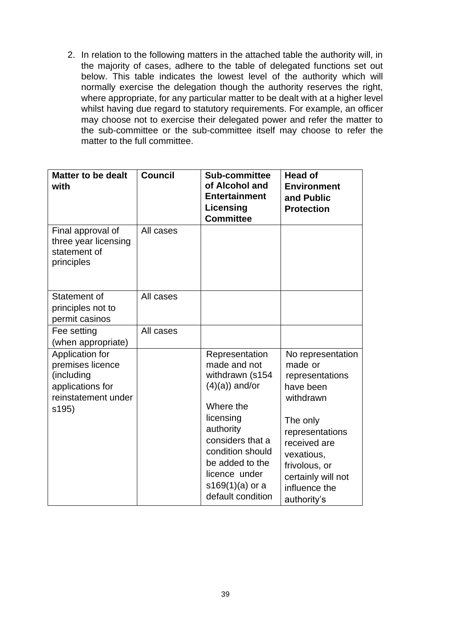2. In relation to the following matters in the attached table the authority will, in the majority of cases, adhere to the table of delegated functions set out below. This table indicates the lowest level of the authority which will normally exercise the delegation though the authority reserves the right, where appropriate, for any particular matter to be dealt with at a higher level whilst having due regard to statutory requirements. For example, an officer may choose not to exercise their delegated power and refer the matter to the sub-committee or the sub-committee itself may choose to refer the matter to the full committee.

| <b>Matter to be dealt</b><br>with                                                                     | <b>Council</b> | Sub-committee<br>of Alcohol and<br><b>Entertainment</b><br>Licensing<br><b>Committee</b>                                                                                                                                            | <b>Head of</b><br><b>Environment</b><br>and Public<br><b>Protection</b>                                                                                                                                       |
|-------------------------------------------------------------------------------------------------------|----------------|-------------------------------------------------------------------------------------------------------------------------------------------------------------------------------------------------------------------------------------|---------------------------------------------------------------------------------------------------------------------------------------------------------------------------------------------------------------|
| Final approval of<br>three year licensing<br>statement of<br>principles                               | All cases      |                                                                                                                                                                                                                                     |                                                                                                                                                                                                               |
| Statement of<br>principles not to<br>permit casinos                                                   | All cases      |                                                                                                                                                                                                                                     |                                                                                                                                                                                                               |
| Fee setting<br>(when appropriate)                                                                     | All cases      |                                                                                                                                                                                                                                     |                                                                                                                                                                                                               |
| Application for<br>premises licence<br>(including<br>applications for<br>reinstatement under<br>s195) |                | Representation<br>made and not<br>withdrawn (s154<br>$(4)(a)$ ) and/or<br>Where the<br>licensing<br>authority<br>considers that a<br>condition should<br>be added to the<br>licence under<br>$s169(1)(a)$ or a<br>default condition | No representation<br>made or<br>representations<br>have been<br>withdrawn<br>The only<br>representations<br>received are<br>vexatious,<br>frivolous, or<br>certainly will not<br>influence the<br>authority's |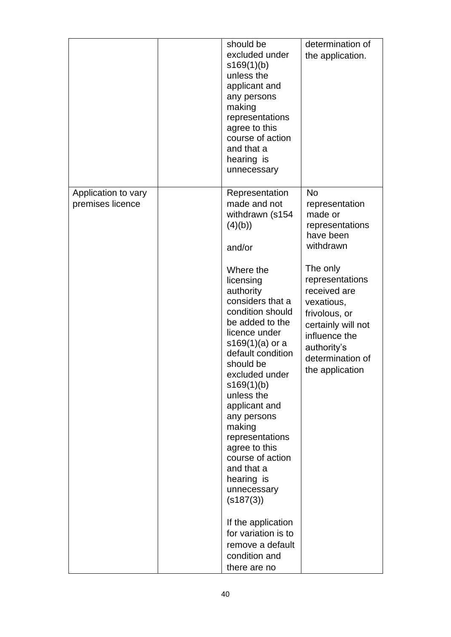|                                         | should be<br>excluded under<br>s169(1)(b)<br>unless the<br>applicant and<br>any persons<br>making<br>representations<br>agree to this<br>course of action<br>and that a<br>hearing is<br>unnecessary                                                                                                                                                                                                                             | determination of<br>the application.                                                                                                                                    |
|-----------------------------------------|----------------------------------------------------------------------------------------------------------------------------------------------------------------------------------------------------------------------------------------------------------------------------------------------------------------------------------------------------------------------------------------------------------------------------------|-------------------------------------------------------------------------------------------------------------------------------------------------------------------------|
| Application to vary<br>premises licence | Representation<br>made and not<br>withdrawn (s154<br>(4)(b)<br>and/or                                                                                                                                                                                                                                                                                                                                                            | <b>No</b><br>representation<br>made or<br>representations<br>have been<br>withdrawn                                                                                     |
|                                         | Where the<br>licensing<br>authority<br>considers that a<br>condition should<br>be added to the<br>licence under<br>s169(1)(a) or a<br>default condition<br>should be<br>excluded under<br>s169(1)(b)<br>unless the<br>applicant and<br>any persons<br>making<br>representations<br>agree to this<br>course of action<br>and that a<br>hearing is<br>unnecessary<br>$($ s187 $(3)$ )<br>If the application<br>for variation is to | The only<br>representations<br>received are<br>vexatious,<br>frivolous, or<br>certainly will not<br>influence the<br>authority's<br>determination of<br>the application |
|                                         | remove a default<br>condition and<br>there are no                                                                                                                                                                                                                                                                                                                                                                                |                                                                                                                                                                         |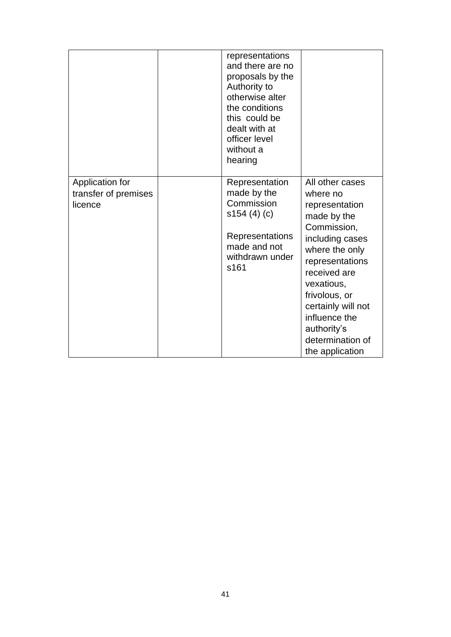|                                                    | representations<br>and there are no<br>proposals by the<br>Authority to<br>otherwise alter<br>the conditions<br>this could be<br>dealt with at<br>officer level<br>without a<br>hearing |                                                                                                                                                                                                                                                                                 |
|----------------------------------------------------|-----------------------------------------------------------------------------------------------------------------------------------------------------------------------------------------|---------------------------------------------------------------------------------------------------------------------------------------------------------------------------------------------------------------------------------------------------------------------------------|
| Application for<br>transfer of premises<br>licence | Representation<br>made by the<br>Commission<br>s154(4)(c)<br>Representations<br>made and not<br>withdrawn under<br>s161                                                                 | All other cases<br>where no<br>representation<br>made by the<br>Commission,<br>including cases<br>where the only<br>representations<br>received are<br>vexatious,<br>frivolous, or<br>certainly will not<br>influence the<br>authority's<br>determination of<br>the application |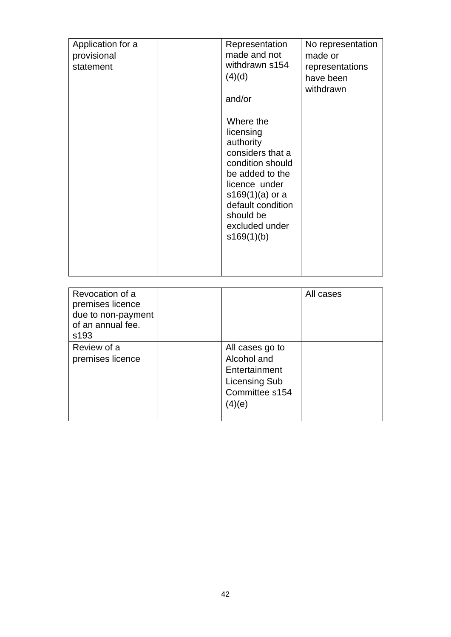| Application for a<br>provisional<br>statement | Representation<br>made and not<br>withdrawn s154<br>(4)(d)<br>and/or                                                                                                                                   | No representation<br>made or<br>representations<br>have been<br>withdrawn |
|-----------------------------------------------|--------------------------------------------------------------------------------------------------------------------------------------------------------------------------------------------------------|---------------------------------------------------------------------------|
|                                               | Where the<br>licensing<br>authority<br>considers that a<br>condition should<br>be added to the<br>licence under<br>$s169(1)(a)$ or a<br>default condition<br>should be<br>excluded under<br>s169(1)(b) |                                                                           |

| Revocation of a<br>premises licence<br>due to non-payment<br>of an annual fee.<br>s <sub>193</sub> |                                                                                                     | All cases |
|----------------------------------------------------------------------------------------------------|-----------------------------------------------------------------------------------------------------|-----------|
| Review of a<br>premises licence                                                                    | All cases go to<br>Alcohol and<br>Entertainment<br><b>Licensing Sub</b><br>Committee s154<br>(4)(e) |           |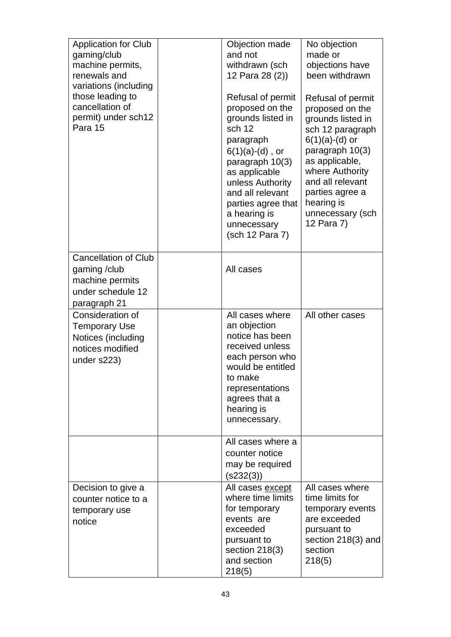| <b>Application for Club</b><br>gaming/club<br>machine permits,<br>renewals and<br>variations (including<br>those leading to<br>cancellation of<br>permit) under sch12<br>Para 15 | Objection made<br>and not<br>withdrawn (sch<br>12 Para 28 (2))<br>Refusal of permit<br>proposed on the<br>grounds listed in<br>sch 12<br>paragraph<br>$6(1)(a)-(d)$ , or<br>paragraph 10(3)<br>as applicable<br>unless Authority<br>and all relevant<br>parties agree that<br>a hearing is<br>unnecessary<br>(sch 12 Para 7) | No objection<br>made or<br>objections have<br>been withdrawn<br>Refusal of permit<br>proposed on the<br>grounds listed in<br>sch 12 paragraph<br>$6(1)(a)-(d)$ or<br>paragraph 10(3)<br>as applicable,<br>where Authority<br>and all relevant<br>parties agree a<br>hearing is<br>unnecessary (sch<br>12 Para 7) |
|----------------------------------------------------------------------------------------------------------------------------------------------------------------------------------|------------------------------------------------------------------------------------------------------------------------------------------------------------------------------------------------------------------------------------------------------------------------------------------------------------------------------|------------------------------------------------------------------------------------------------------------------------------------------------------------------------------------------------------------------------------------------------------------------------------------------------------------------|
| <b>Cancellation of Club</b><br>gaming/club<br>machine permits<br>under schedule 12<br>paragraph 21                                                                               | All cases                                                                                                                                                                                                                                                                                                                    |                                                                                                                                                                                                                                                                                                                  |
| Consideration of<br><b>Temporary Use</b><br>Notices (including<br>notices modified<br>under s223)                                                                                | All cases where<br>an objection<br>notice has been<br>received unless<br>each person who<br>would be entitled<br>to make<br>representations<br>agrees that a<br>hearing is<br>unnecessary.                                                                                                                                   | All other cases                                                                                                                                                                                                                                                                                                  |
|                                                                                                                                                                                  | All cases where a<br>counter notice<br>may be required<br>(s232(3))                                                                                                                                                                                                                                                          |                                                                                                                                                                                                                                                                                                                  |
| Decision to give a<br>counter notice to a<br>temporary use<br>notice                                                                                                             | All cases except<br>where time limits<br>for temporary<br>events are<br>exceeded<br>pursuant to<br>section 218(3)<br>and section<br>218(5)                                                                                                                                                                                   | All cases where<br>time limits for<br>temporary events<br>are exceeded<br>pursuant to<br>section 218(3) and<br>section<br>218(5)                                                                                                                                                                                 |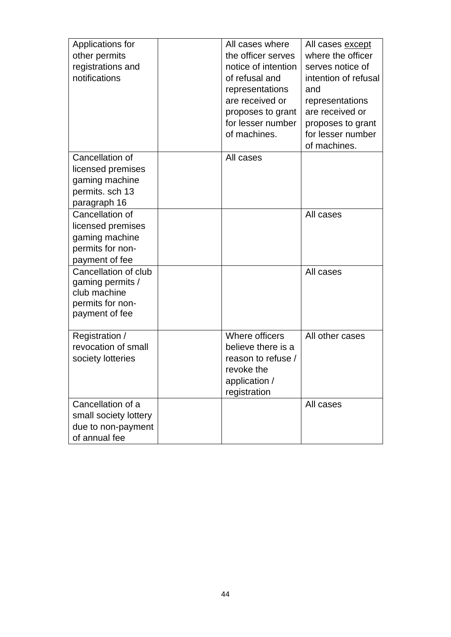| Applications for<br>other permits<br>registrations and<br>notifications                        | All cases where<br>the officer serves<br>notice of intention<br>of refusal and<br>representations<br>are received or<br>proposes to grant<br>for lesser number<br>of machines. | All cases except<br>where the officer<br>serves notice of<br>intention of refusal<br>and<br>representations<br>are received or<br>proposes to grant<br>for lesser number<br>of machines. |
|------------------------------------------------------------------------------------------------|--------------------------------------------------------------------------------------------------------------------------------------------------------------------------------|------------------------------------------------------------------------------------------------------------------------------------------------------------------------------------------|
| Cancellation of<br>licensed premises<br>gaming machine<br>permits. sch 13<br>paragraph 16      | All cases                                                                                                                                                                      |                                                                                                                                                                                          |
| Cancellation of<br>licensed premises<br>gaming machine<br>permits for non-<br>payment of fee   |                                                                                                                                                                                | All cases                                                                                                                                                                                |
| Cancellation of club<br>gaming permits /<br>club machine<br>permits for non-<br>payment of fee |                                                                                                                                                                                | All cases                                                                                                                                                                                |
| Registration /<br>revocation of small<br>society lotteries                                     | Where officers<br>believe there is a<br>reason to refuse /<br>revoke the<br>application /<br>registration                                                                      | All other cases                                                                                                                                                                          |
| Cancellation of a<br>small society lottery<br>due to non-payment<br>of annual fee              |                                                                                                                                                                                | All cases                                                                                                                                                                                |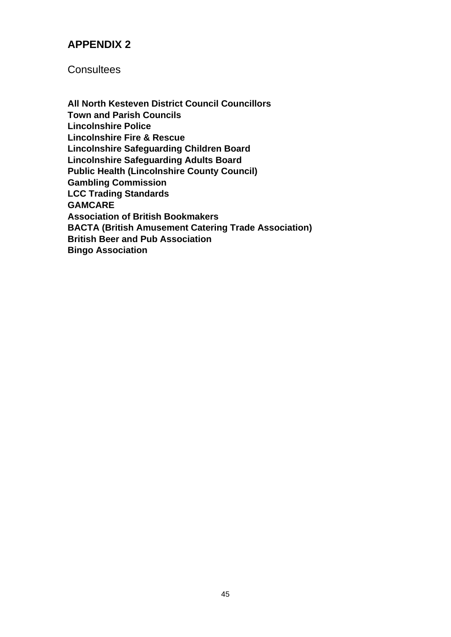## **APPENDIX 2**

**Consultees** 

**All North Kesteven District Council Councillors Town and Parish Councils Lincolnshire Police Lincolnshire Fire & Rescue Lincolnshire Safeguarding Children Board Lincolnshire Safeguarding Adults Board Public Health (Lincolnshire County Council) Gambling Commission LCC Trading Standards GAMCARE Association of British Bookmakers BACTA (British Amusement Catering Trade Association) British Beer and Pub Association Bingo Association**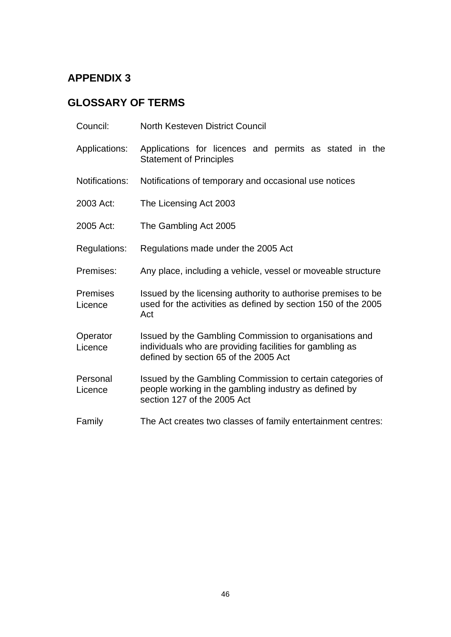# **APPENDIX 3**

# **GLOSSARY OF TERMS**

| Council:                   | <b>North Kesteven District Council</b>                                                                                                                      |
|----------------------------|-------------------------------------------------------------------------------------------------------------------------------------------------------------|
| Applications:              | Applications for licences and permits as stated in the<br><b>Statement of Principles</b>                                                                    |
| Notifications:             | Notifications of temporary and occasional use notices                                                                                                       |
| 2003 Act:                  | The Licensing Act 2003                                                                                                                                      |
| 2005 Act:                  | The Gambling Act 2005                                                                                                                                       |
| Regulations:               | Regulations made under the 2005 Act                                                                                                                         |
| Premises:                  | Any place, including a vehicle, vessel or moveable structure                                                                                                |
| <b>Premises</b><br>Licence | Issued by the licensing authority to authorise premises to be<br>used for the activities as defined by section 150 of the 2005<br>Act                       |
| Operator<br>Licence        | Issued by the Gambling Commission to organisations and<br>individuals who are providing facilities for gambling as<br>defined by section 65 of the 2005 Act |
| Personal<br>Licence        | Issued by the Gambling Commission to certain categories of<br>people working in the gambling industry as defined by<br>section 127 of the 2005 Act          |
| Family                     | The Act creates two classes of family entertainment centres:                                                                                                |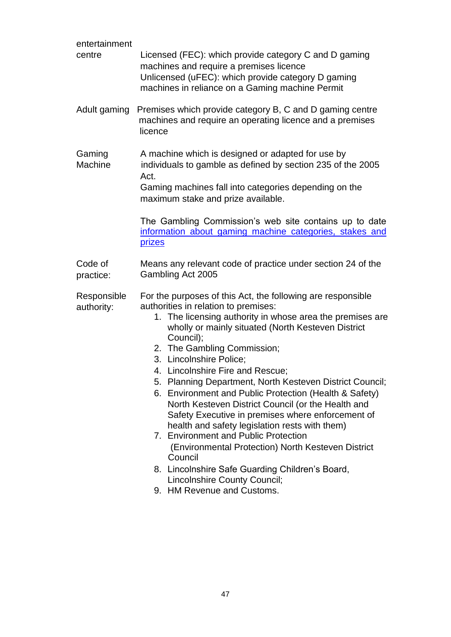| entertainment<br>centre   | Licensed (FEC): which provide category C and D gaming<br>machines and require a premises licence<br>Unlicensed (uFEC): which provide category D gaming<br>machines in reliance on a Gaming machine Permit                                                                                                                                                                                                                                                                                                                                                                                                                                                                                                                                                                                                                                      |
|---------------------------|------------------------------------------------------------------------------------------------------------------------------------------------------------------------------------------------------------------------------------------------------------------------------------------------------------------------------------------------------------------------------------------------------------------------------------------------------------------------------------------------------------------------------------------------------------------------------------------------------------------------------------------------------------------------------------------------------------------------------------------------------------------------------------------------------------------------------------------------|
| Adult gaming              | Premises which provide category B, C and D gaming centre<br>machines and require an operating licence and a premises<br>licence                                                                                                                                                                                                                                                                                                                                                                                                                                                                                                                                                                                                                                                                                                                |
| Gaming<br>Machine         | A machine which is designed or adapted for use by<br>individuals to gamble as defined by section 235 of the 2005<br>Act.<br>Gaming machines fall into categories depending on the<br>maximum stake and prize available.<br>The Gambling Commission's web site contains up to date<br>information about gaming machine categories, stakes and<br>prizes                                                                                                                                                                                                                                                                                                                                                                                                                                                                                         |
| Code of<br>practice:      | Means any relevant code of practice under section 24 of the<br>Gambling Act 2005                                                                                                                                                                                                                                                                                                                                                                                                                                                                                                                                                                                                                                                                                                                                                               |
| Responsible<br>authority: | For the purposes of this Act, the following are responsible<br>authorities in relation to premises:<br>1. The licensing authority in whose area the premises are<br>wholly or mainly situated (North Kesteven District<br>Council);<br>2. The Gambling Commission;<br>3. Lincolnshire Police;<br>4. Lincolnshire Fire and Rescue;<br>5. Planning Department, North Kesteven District Council;<br>6. Environment and Public Protection (Health & Safety)<br>North Kesteven District Council (or the Health and<br>Safety Executive in premises where enforcement of<br>health and safety legislation rests with them)<br>7. Environment and Public Protection<br>(Environmental Protection) North Kesteven District<br>Council<br>8. Lincolnshire Safe Guarding Children's Board,<br>Lincolnshire County Council;<br>9. HM Revenue and Customs. |